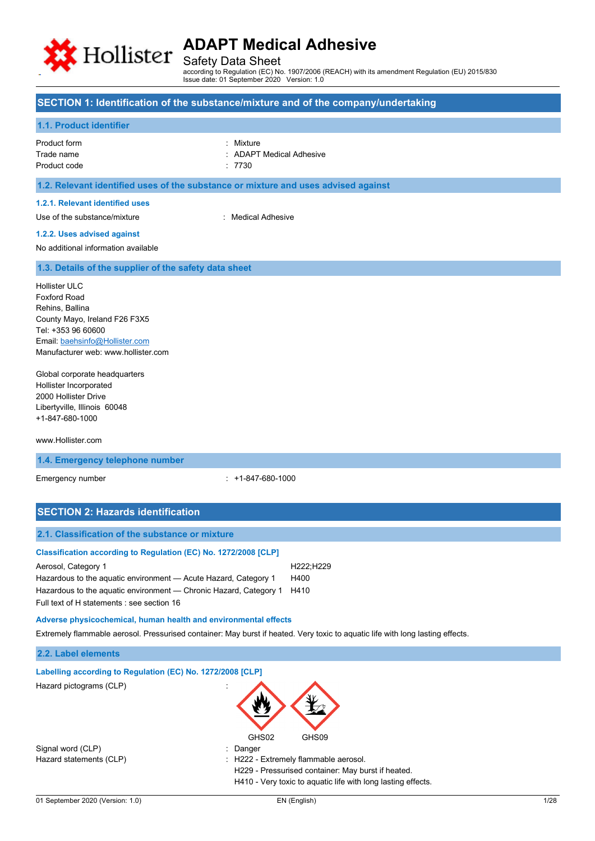

Safety Data Sheet

according to Regulation (EC) No. 1907/2006 (REACH) with its amendment Regulation (EU) 2015/830 Issue date: 01 September 2020 Version: 1.0

## **SECTION 1: Identification of the substance/mixture and of the company/undertaking**

## **1.1. Product identifier**

| Product form | : Mixture                |
|--------------|--------------------------|
| Trade name   | : ADAPT Medical Adhesive |
| Product code | .7730                    |

## **1.2. Relevant identified uses of the substance or mixture and uses advised against**

## **1.2.1. Relevant identified uses**

Use of the substance/mixture in the substance with the substance of the substance in the substance of the substance of the substance of the substance of the substance of the substance of the substance of the substance of t

### **1.2.2. Uses advised against**

No additional information available

### **1.3. Details of the supplier of the safety data sheet**

Hollister ULC Foxford Road Rehins, Ballina County Mayo, Ireland F26 F3X5 Tel: +353 96 60600 Email[: baehsinfo@Hollister.com](mailto:baehsinfo@Hollister.com) Manufacturer web: www.hollister.com

Global corporate headquarters Hollister Incorporated 2000 Hollister Drive Libertyville, Illinois 60048 +1-847-680-1000

### www.Hollister.com

### **1.4. Emergency telephone number**

Emergency number : +1-847-680-1000

| <b>SECTION 2: Hazards identification</b>                                                                                                                                                                                                                                     |                           |
|------------------------------------------------------------------------------------------------------------------------------------------------------------------------------------------------------------------------------------------------------------------------------|---------------------------|
| 2.1. Classification of the substance or mixture                                                                                                                                                                                                                              |                           |
| Classification according to Regulation (EC) No. 1272/2008 [CLP]<br>Aerosol, Category 1<br>Hazardous to the aquatic environment — Acute Hazard, Category 1<br>Hazardous to the aquatic environment — Chronic Hazard, Category 1<br>Full text of H statements : see section 16 | H222;H229<br>H400<br>H410 |
| Adverse physicochemical, human health and environmental effects<br>Extremely flammable aerosol. Pressurised container: May burst if heated. Very toxic to aquatic life with long lasting effects.                                                                            |                           |
| 2.2. Label elements                                                                                                                                                                                                                                                          |                           |
| Labelling according to Regulation (EC) No. 1272/2008 [CLP]<br>Hazard pictograms (CLP)<br>GHS02                                                                                                                                                                               | GHS09                     |

Signal word (CLP)  $\qquad \qquad$ : Danger

Hazard statements (CLP)  $\qquad \qquad$  : H222 - Extremely flammable aerosol.

H229 - Pressurised container: May burst if heated. H410 - Very toxic to aquatic life with long lasting effects.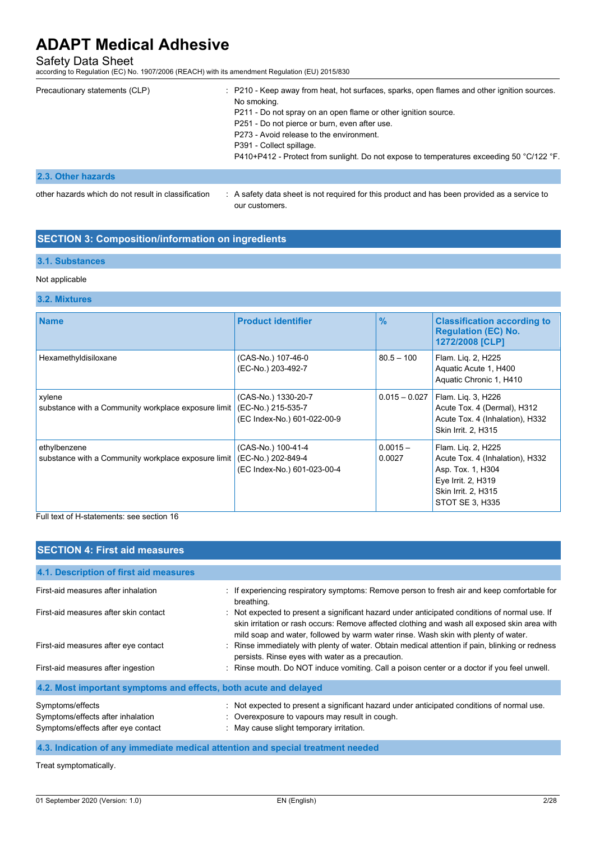Safety Data Sheet according to Regulation (EC) No. 1907/2006 (REACH) with its amendment Regulation (EU) 2015/830

| Precautionary statements (CLP) | : P210 - Keep away from heat, hot surfaces, sparks, open flames and other ignition sources.<br>No smoking.<br>P211 - Do not spray on an open flame or other ignition source.<br>P251 - Do not pierce or burn, even after use.<br>P273 - Avoid release to the environment.<br>P391 - Collect spillage.<br>P410+P412 - Protect from sunlight. Do not expose to temperatures exceeding 50 °C/122 °F. |
|--------------------------------|---------------------------------------------------------------------------------------------------------------------------------------------------------------------------------------------------------------------------------------------------------------------------------------------------------------------------------------------------------------------------------------------------|
| 2.3. Other hazards             |                                                                                                                                                                                                                                                                                                                                                                                                   |

other hazards which do not result in classification : A safety data sheet is not required for this product and has been provided as a service to our customers.

## **SECTION 3: Composition/information on ingredients**

## **3.1. Substances**

### Not applicable

## **3.2. Mixtures**

| <b>Name</b>                                                         | <b>Product identifier</b>                                                | $\frac{9}{6}$        | <b>Classification according to</b><br><b>Regulation (EC) No.</b><br>1272/2008 [CLP]                                                        |
|---------------------------------------------------------------------|--------------------------------------------------------------------------|----------------------|--------------------------------------------------------------------------------------------------------------------------------------------|
| Hexamethyldisiloxane                                                | (CAS-No.) 107-46-0<br>(EC-No.) 203-492-7                                 | $80.5 - 100$         | Flam. Liq. 2, H225<br>Aquatic Acute 1, H400<br>Aquatic Chronic 1, H410                                                                     |
| xylene<br>substance with a Community workplace exposure limit       | (CAS-No.) 1330-20-7<br>(EC-No.) 215-535-7<br>(EC Index-No.) 601-022-00-9 | $0.015 - 0.027$      | Flam. Liq. 3, H226<br>Acute Tox. 4 (Dermal), H312<br>Acute Tox. 4 (Inhalation), H332<br>Skin Irrit. 2, H315                                |
| ethylbenzene<br>substance with a Community workplace exposure limit | (CAS-No.) 100-41-4<br>(EC-No.) 202-849-4<br>(EC Index-No.) 601-023-00-4  | $0.0015 -$<br>0.0027 | Flam. Liq. 2, H225<br>Acute Tox. 4 (Inhalation), H332<br>Asp. Tox. 1, H304<br>Eye Irrit. 2, H319<br>Skin Irrit. 2, H315<br>STOT SE 3, H335 |

Full text of H-statements: see section 16

| <b>SECTION 4: First aid measures</b>                                                        |                                                                                                                                                                                                                                                                                     |  |  |
|---------------------------------------------------------------------------------------------|-------------------------------------------------------------------------------------------------------------------------------------------------------------------------------------------------------------------------------------------------------------------------------------|--|--|
| 4.1. Description of first aid measures                                                      |                                                                                                                                                                                                                                                                                     |  |  |
| First-aid measures after inhalation                                                         | : If experiencing respiratory symptoms: Remove person to fresh air and keep comfortable for<br>breathing.                                                                                                                                                                           |  |  |
| First-aid measures after skin contact                                                       | : Not expected to present a significant hazard under anticipated conditions of normal use. If<br>skin irritation or rash occurs: Remove affected clothing and wash all exposed skin area with<br>mild soap and water, followed by warm water rinse. Wash skin with plenty of water. |  |  |
| First-aid measures after eye contact                                                        | : Rinse immediately with plenty of water. Obtain medical attention if pain, blinking or redness<br>persists. Rinse eyes with water as a precaution.                                                                                                                                 |  |  |
| First-aid measures after ingestion                                                          | : Rinse mouth. Do NOT induce vomiting. Call a poison center or a doctor if you feel unwell.                                                                                                                                                                                         |  |  |
| 4.2. Most important symptoms and effects, both acute and delayed                            |                                                                                                                                                                                                                                                                                     |  |  |
| Symptoms/effects<br>Symptoms/effects after inhalation<br>Symptoms/effects after eye contact | : Not expected to present a significant hazard under anticipated conditions of normal use.<br>: Overexposure to vapours may result in cough.<br>: May cause slight temporary irritation.                                                                                            |  |  |
| 4.3. Indication of any immediate medical attention and special treatment needed             |                                                                                                                                                                                                                                                                                     |  |  |

Treat symptomatically.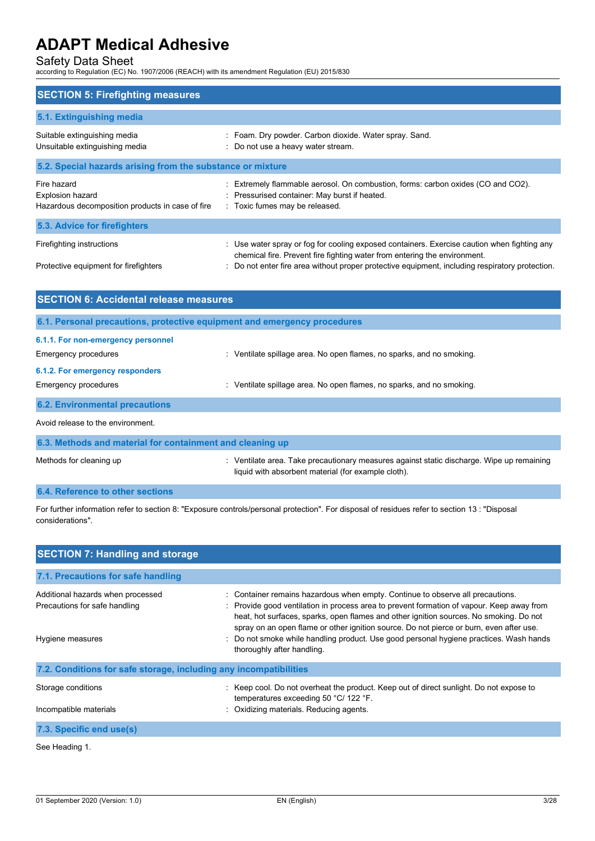Safety Data Sheet according to Regulation (EC) No. 1907/2006 (REACH) with its amendment Regulation (EU) 2015/830

| <b>SECTION 5: Firefighting measures</b>                                                    |                                                                                                                                                                          |  |  |
|--------------------------------------------------------------------------------------------|--------------------------------------------------------------------------------------------------------------------------------------------------------------------------|--|--|
| 5.1. Extinguishing media                                                                   |                                                                                                                                                                          |  |  |
| Suitable extinguishing media<br>Unsuitable extinguishing media                             | : Foam. Dry powder. Carbon dioxide. Water spray. Sand.<br>: Do not use a heavy water stream.                                                                             |  |  |
| 5.2. Special hazards arising from the substance or mixture                                 |                                                                                                                                                                          |  |  |
| Fire hazard<br><b>Explosion hazard</b><br>Hazardous decomposition products in case of fire | Extremely flammable aerosol. On combustion, forms: carbon oxides (CO and CO2).<br>: Pressurised container: May burst if heated.<br>: Toxic fumes may be released.        |  |  |
| 5.3. Advice for firefighters                                                               |                                                                                                                                                                          |  |  |
| Firefighting instructions                                                                  | : Use water spray or fog for cooling exposed containers. Exercise caution when fighting any<br>chemical fire. Prevent fire fighting water from entering the environment. |  |  |
| Protective equipment for firefighters                                                      | : Do not enter fire area without proper protective equipment, including respiratory protection.                                                                          |  |  |

| <b>SECTION 6: Accidental release measures</b>                                                        |                                                                       |  |
|------------------------------------------------------------------------------------------------------|-----------------------------------------------------------------------|--|
| 6.1. Personal precautions, protective equipment and emergency procedures                             |                                                                       |  |
| 6.1.1. For non-emergency personnel<br><b>Emergency procedures</b><br>6.1.2. For emergency responders | : Ventilate spillage area. No open flames, no sparks, and no smoking. |  |
| <b>Emergency procedures</b>                                                                          | : Ventilate spillage area. No open flames, no sparks, and no smoking. |  |
| <b>6.2. Environmental precautions</b>                                                                |                                                                       |  |
| Avoid release to the environment.                                                                    |                                                                       |  |
| 6.3. Methods and material for containment and cleaning up                                            |                                                                       |  |

| Methods for cleaning up | Ventilate area. Take precautionary measures against static discharge. Wipe up remaining |
|-------------------------|-----------------------------------------------------------------------------------------|
|                         | liquid with absorbent material (for example cloth).                                     |

## **6.4. Reference to other sections**

For further information refer to section 8: "Exposure controls/personal protection". For disposal of residues refer to section 13 : "Disposal considerations".

| <b>SECTION 7: Handling and storage</b>                             |                                                                                                                                                                                                                                                                                                                                                                  |  |  |
|--------------------------------------------------------------------|------------------------------------------------------------------------------------------------------------------------------------------------------------------------------------------------------------------------------------------------------------------------------------------------------------------------------------------------------------------|--|--|
| 7.1. Precautions for safe handling                                 |                                                                                                                                                                                                                                                                                                                                                                  |  |  |
| Additional hazards when processed<br>Precautions for safe handling | : Container remains hazardous when empty. Continue to observe all precautions.<br>: Provide good ventilation in process area to prevent formation of vapour. Keep away from<br>heat, hot surfaces, sparks, open flames and other ignition sources. No smoking. Do not<br>spray on an open flame or other ignition source. Do not pierce or burn, even after use. |  |  |
| Hygiene measures                                                   | : Do not smoke while handling product. Use good personal hygiene practices. Wash hands<br>thoroughly after handling.                                                                                                                                                                                                                                             |  |  |
| 7.2. Conditions for safe storage, including any incompatibilities  |                                                                                                                                                                                                                                                                                                                                                                  |  |  |
| Storage conditions                                                 | : Keep cool. Do not overheat the product. Keep out of direct sunlight. Do not expose to<br>temperatures exceeding 50 °C/ 122 °F.                                                                                                                                                                                                                                 |  |  |
| Incompatible materials                                             | Oxidizing materials. Reducing agents.                                                                                                                                                                                                                                                                                                                            |  |  |
| 7.3. Specific end use(s)                                           |                                                                                                                                                                                                                                                                                                                                                                  |  |  |
|                                                                    |                                                                                                                                                                                                                                                                                                                                                                  |  |  |

See Heading 1.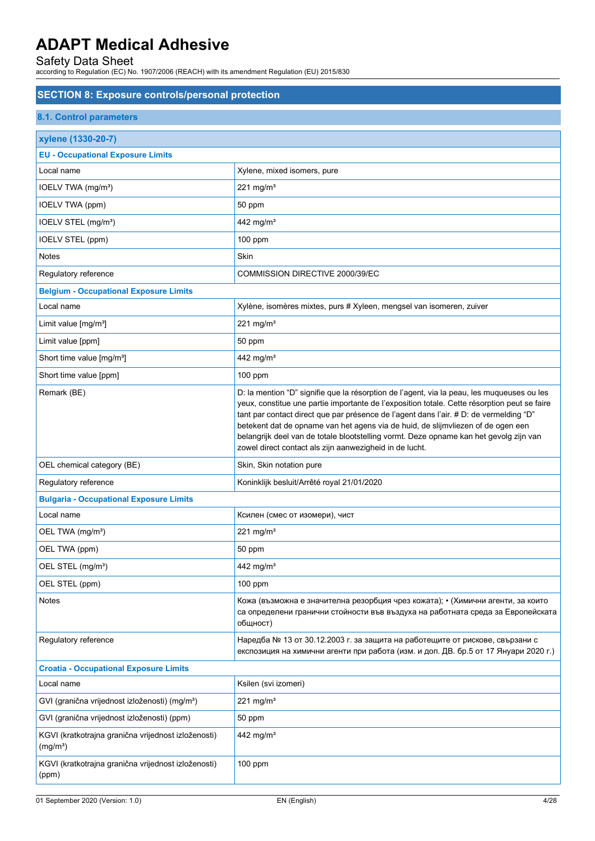| <b>SECTION 8: Exposure controls/personal protection</b>                     |                                                                                                                                                                                                                                                                                                                                                                                                                                                                                                                               |  |
|-----------------------------------------------------------------------------|-------------------------------------------------------------------------------------------------------------------------------------------------------------------------------------------------------------------------------------------------------------------------------------------------------------------------------------------------------------------------------------------------------------------------------------------------------------------------------------------------------------------------------|--|
| <b>8.1. Control parameters</b>                                              |                                                                                                                                                                                                                                                                                                                                                                                                                                                                                                                               |  |
| xylene (1330-20-7)                                                          |                                                                                                                                                                                                                                                                                                                                                                                                                                                                                                                               |  |
| <b>EU - Occupational Exposure Limits</b>                                    |                                                                                                                                                                                                                                                                                                                                                                                                                                                                                                                               |  |
| Local name                                                                  | Xylene, mixed isomers, pure                                                                                                                                                                                                                                                                                                                                                                                                                                                                                                   |  |
| IOELV TWA (mg/m <sup>3</sup> )                                              | 221 mg/m $3$                                                                                                                                                                                                                                                                                                                                                                                                                                                                                                                  |  |
| <b>IOELV TWA (ppm)</b>                                                      | 50 ppm                                                                                                                                                                                                                                                                                                                                                                                                                                                                                                                        |  |
| IOELV STEL (mg/m <sup>3</sup> )                                             | 442 mg/m <sup>3</sup>                                                                                                                                                                                                                                                                                                                                                                                                                                                                                                         |  |
| IOELV STEL (ppm)                                                            | 100 ppm                                                                                                                                                                                                                                                                                                                                                                                                                                                                                                                       |  |
| Notes                                                                       | Skin                                                                                                                                                                                                                                                                                                                                                                                                                                                                                                                          |  |
| Regulatory reference                                                        | COMMISSION DIRECTIVE 2000/39/EC                                                                                                                                                                                                                                                                                                                                                                                                                                                                                               |  |
| <b>Belgium - Occupational Exposure Limits</b>                               |                                                                                                                                                                                                                                                                                                                                                                                                                                                                                                                               |  |
| Local name                                                                  | Xylène, isomères mixtes, purs # Xyleen, mengsel van isomeren, zuiver                                                                                                                                                                                                                                                                                                                                                                                                                                                          |  |
| Limit value $[mg/m3]$                                                       | 221 mg/m $3$                                                                                                                                                                                                                                                                                                                                                                                                                                                                                                                  |  |
| Limit value [ppm]                                                           | 50 ppm                                                                                                                                                                                                                                                                                                                                                                                                                                                                                                                        |  |
| Short time value [mg/m <sup>3</sup> ]                                       | 442 mg/m <sup>3</sup>                                                                                                                                                                                                                                                                                                                                                                                                                                                                                                         |  |
| Short time value [ppm]                                                      | 100 ppm                                                                                                                                                                                                                                                                                                                                                                                                                                                                                                                       |  |
| Remark (BE)                                                                 | D: la mention "D" signifie que la résorption de l'agent, via la peau, les muqueuses ou les<br>yeux, constitue une partie importante de l'exposition totale. Cette résorption peut se faire<br>tant par contact direct que par présence de l'agent dans l'air. # D: de vermelding "D"<br>betekent dat de opname van het agens via de huid, de slijmvliezen of de ogen een<br>belangrijk deel van de totale blootstelling vormt. Deze opname kan het gevolg zijn van<br>zowel direct contact als zijn aanwezigheid in de lucht. |  |
| OEL chemical category (BE)                                                  | Skin, Skin notation pure                                                                                                                                                                                                                                                                                                                                                                                                                                                                                                      |  |
| Regulatory reference                                                        | Koninklijk besluit/Arrêté royal 21/01/2020                                                                                                                                                                                                                                                                                                                                                                                                                                                                                    |  |
| <b>Bulgaria - Occupational Exposure Limits</b>                              |                                                                                                                                                                                                                                                                                                                                                                                                                                                                                                                               |  |
| Local name                                                                  | Ксилен (смес от изомери), чист                                                                                                                                                                                                                                                                                                                                                                                                                                                                                                |  |
| OEL TWA (mg/m <sup>3</sup> )                                                | 221 mg/m $3$                                                                                                                                                                                                                                                                                                                                                                                                                                                                                                                  |  |
| OEL TWA (ppm)                                                               | 50 ppm                                                                                                                                                                                                                                                                                                                                                                                                                                                                                                                        |  |
| OEL STEL (mg/m <sup>3</sup> )                                               | 442 mg/m <sup>3</sup>                                                                                                                                                                                                                                                                                                                                                                                                                                                                                                         |  |
| OEL STEL (ppm)                                                              | 100 ppm                                                                                                                                                                                                                                                                                                                                                                                                                                                                                                                       |  |
| Notes                                                                       | Кожа (възможна е значителна резорбция чрез кожата); • (Химични агенти, за които<br>са определени гранични стойности във въздуха на работната среда за Европейската<br>общност)                                                                                                                                                                                                                                                                                                                                                |  |
| Regulatory reference                                                        | Наредба № 13 от 30.12.2003 г. за защита на работещите от рискове, свързани с<br>експозиция на химични агенти при работа (изм. и доп. ДВ. бр.5 от 17 Януари 2020 г.)                                                                                                                                                                                                                                                                                                                                                           |  |
| <b>Croatia - Occupational Exposure Limits</b>                               |                                                                                                                                                                                                                                                                                                                                                                                                                                                                                                                               |  |
| Local name                                                                  | Ksilen (svi izomeri)                                                                                                                                                                                                                                                                                                                                                                                                                                                                                                          |  |
| GVI (granična vrijednost izloženosti) (mg/m <sup>3</sup> )                  | 221 mg/m $3$                                                                                                                                                                                                                                                                                                                                                                                                                                                                                                                  |  |
| GVI (granična vrijednost izloženosti) (ppm)                                 | 50 ppm                                                                                                                                                                                                                                                                                                                                                                                                                                                                                                                        |  |
| KGVI (kratkotrajna granična vrijednost izloženosti)<br>(mg/m <sup>3</sup> ) | 442 mg/m <sup>3</sup>                                                                                                                                                                                                                                                                                                                                                                                                                                                                                                         |  |
| KGVI (kratkotrajna granična vrijednost izloženosti)<br>(ppm)                | 100 ppm                                                                                                                                                                                                                                                                                                                                                                                                                                                                                                                       |  |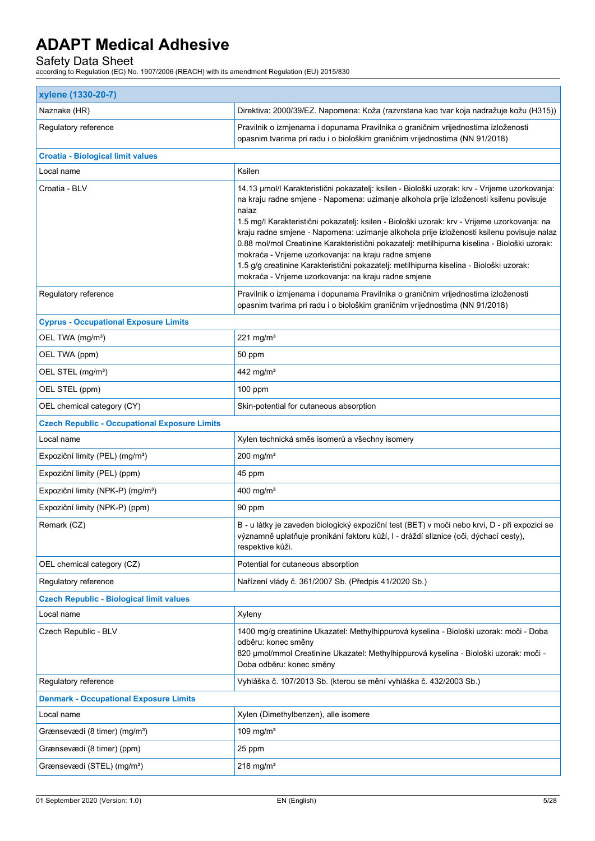| xylene (1330-20-7)                                   |                                                                                                                                                                                                                                                                                                                                                                                                                                                                                                                                                                                                                                                                                                          |  |  |
|------------------------------------------------------|----------------------------------------------------------------------------------------------------------------------------------------------------------------------------------------------------------------------------------------------------------------------------------------------------------------------------------------------------------------------------------------------------------------------------------------------------------------------------------------------------------------------------------------------------------------------------------------------------------------------------------------------------------------------------------------------------------|--|--|
| Naznake (HR)                                         | Direktiva: 2000/39/EZ. Napomena: Koža (razvrstana kao tvar koja nadražuje kožu (H315))                                                                                                                                                                                                                                                                                                                                                                                                                                                                                                                                                                                                                   |  |  |
| Regulatory reference                                 | Pravilnik o izmjenama i dopunama Pravilnika o graničnim vrijednostima izloženosti<br>opasnim tvarima pri radu i o biološkim graničnim vrijednostima (NN 91/2018)                                                                                                                                                                                                                                                                                                                                                                                                                                                                                                                                         |  |  |
| <b>Croatia - Biological limit values</b>             |                                                                                                                                                                                                                                                                                                                                                                                                                                                                                                                                                                                                                                                                                                          |  |  |
| Local name                                           | Ksilen                                                                                                                                                                                                                                                                                                                                                                                                                                                                                                                                                                                                                                                                                                   |  |  |
| Croatia - BLV                                        | 14.13 µmol/l Karakteristični pokazatelj: ksilen - Biološki uzorak: krv - Vrijeme uzorkovanja:<br>na kraju radne smjene - Napomena: uzimanje alkohola prije izloženosti ksilenu povisuje<br>nalaz<br>1.5 mg/l Karakteristični pokazatelj: ksilen - Biološki uzorak: krv - Vrijeme uzorkovanja: na<br>kraju radne smjene - Napomena: uzimanje alkohola prije izloženosti ksilenu povisuje nalaz<br>0.88 mol/mol Creatinine Karakteristični pokazatelj: metilhipurna kiselina - Biološki uzorak:<br>mokraća - Vrijeme uzorkovanja: na kraju radne smjene<br>1.5 g/g creatinine Karakteristični pokazatelj: metilhipurna kiselina - Biološki uzorak:<br>mokraća - Vrijeme uzorkovanja: na kraju radne smjene |  |  |
| Regulatory reference                                 | Pravilnik o izmjenama i dopunama Pravilnika o graničnim vrijednostima izloženosti<br>opasnim tvarima pri radu i o biološkim graničnim vrijednostima (NN 91/2018)                                                                                                                                                                                                                                                                                                                                                                                                                                                                                                                                         |  |  |
| <b>Cyprus - Occupational Exposure Limits</b>         |                                                                                                                                                                                                                                                                                                                                                                                                                                                                                                                                                                                                                                                                                                          |  |  |
| OEL TWA (mg/m <sup>3</sup> )                         | 221 mg/m $3$                                                                                                                                                                                                                                                                                                                                                                                                                                                                                                                                                                                                                                                                                             |  |  |
| OEL TWA (ppm)                                        | 50 ppm                                                                                                                                                                                                                                                                                                                                                                                                                                                                                                                                                                                                                                                                                                   |  |  |
| OEL STEL (mg/m <sup>3</sup> )                        | 442 mg/m <sup>3</sup>                                                                                                                                                                                                                                                                                                                                                                                                                                                                                                                                                                                                                                                                                    |  |  |
| OEL STEL (ppm)                                       | $100$ ppm                                                                                                                                                                                                                                                                                                                                                                                                                                                                                                                                                                                                                                                                                                |  |  |
| OEL chemical category (CY)                           | Skin-potential for cutaneous absorption                                                                                                                                                                                                                                                                                                                                                                                                                                                                                                                                                                                                                                                                  |  |  |
| <b>Czech Republic - Occupational Exposure Limits</b> |                                                                                                                                                                                                                                                                                                                                                                                                                                                                                                                                                                                                                                                                                                          |  |  |
| Local name                                           | Xylen technická směs isomerů a všechny isomery                                                                                                                                                                                                                                                                                                                                                                                                                                                                                                                                                                                                                                                           |  |  |
| Expoziční limity (PEL) (mg/m <sup>3</sup> )          | $200$ mg/m <sup>3</sup>                                                                                                                                                                                                                                                                                                                                                                                                                                                                                                                                                                                                                                                                                  |  |  |
| Expoziční limity (PEL) (ppm)                         | 45 ppm                                                                                                                                                                                                                                                                                                                                                                                                                                                                                                                                                                                                                                                                                                   |  |  |
| Expoziční limity (NPK-P) (mg/m <sup>3</sup> )        | 400 mg/m $3$                                                                                                                                                                                                                                                                                                                                                                                                                                                                                                                                                                                                                                                                                             |  |  |
| Expoziční limity (NPK-P) (ppm)                       | 90 ppm                                                                                                                                                                                                                                                                                                                                                                                                                                                                                                                                                                                                                                                                                                   |  |  |
| Remark (CZ)                                          | B - u látky je zaveden biologický expoziční test (BET) v moči nebo krvi, D - při expozici se<br>významně uplatňuje pronikání faktoru kůží, I - dráždí sliznice (oči, dýchací cesty),<br>respektive kůži.                                                                                                                                                                                                                                                                                                                                                                                                                                                                                                 |  |  |
| OEL chemical category (CZ)                           | Potential for cutaneous absorption                                                                                                                                                                                                                                                                                                                                                                                                                                                                                                                                                                                                                                                                       |  |  |
| Regulatory reference                                 | Nařízení vlády č. 361/2007 Sb. (Předpis 41/2020 Sb.)                                                                                                                                                                                                                                                                                                                                                                                                                                                                                                                                                                                                                                                     |  |  |
| <b>Czech Republic - Biological limit values</b>      |                                                                                                                                                                                                                                                                                                                                                                                                                                                                                                                                                                                                                                                                                                          |  |  |
| Local name                                           | Xyleny                                                                                                                                                                                                                                                                                                                                                                                                                                                                                                                                                                                                                                                                                                   |  |  |
| Czech Republic - BLV                                 | 1400 mg/g creatinine Ukazatel: Methylhippurová kyselina - Biološki uzorak: moči - Doba<br>odběru: konec směny                                                                                                                                                                                                                                                                                                                                                                                                                                                                                                                                                                                            |  |  |
|                                                      | 820 µmol/mmol Creatinine Ukazatel: Methylhippurová kyselina - Biološki uzorak: moči -<br>Doba odběru: konec směny                                                                                                                                                                                                                                                                                                                                                                                                                                                                                                                                                                                        |  |  |
| Regulatory reference                                 | Vyhláška č. 107/2013 Sb. (kterou se mění vyhláška č. 432/2003 Sb.)                                                                                                                                                                                                                                                                                                                                                                                                                                                                                                                                                                                                                                       |  |  |
| <b>Denmark - Occupational Exposure Limits</b>        |                                                                                                                                                                                                                                                                                                                                                                                                                                                                                                                                                                                                                                                                                                          |  |  |
| Local name                                           | Xylen (Dimethylbenzen), alle isomere                                                                                                                                                                                                                                                                                                                                                                                                                                                                                                                                                                                                                                                                     |  |  |
| Grænsevædi (8 timer) (mg/m <sup>3</sup> )            | 109 mg/m $3$                                                                                                                                                                                                                                                                                                                                                                                                                                                                                                                                                                                                                                                                                             |  |  |
| Grænsevædi (8 timer) (ppm)                           | 25 ppm                                                                                                                                                                                                                                                                                                                                                                                                                                                                                                                                                                                                                                                                                                   |  |  |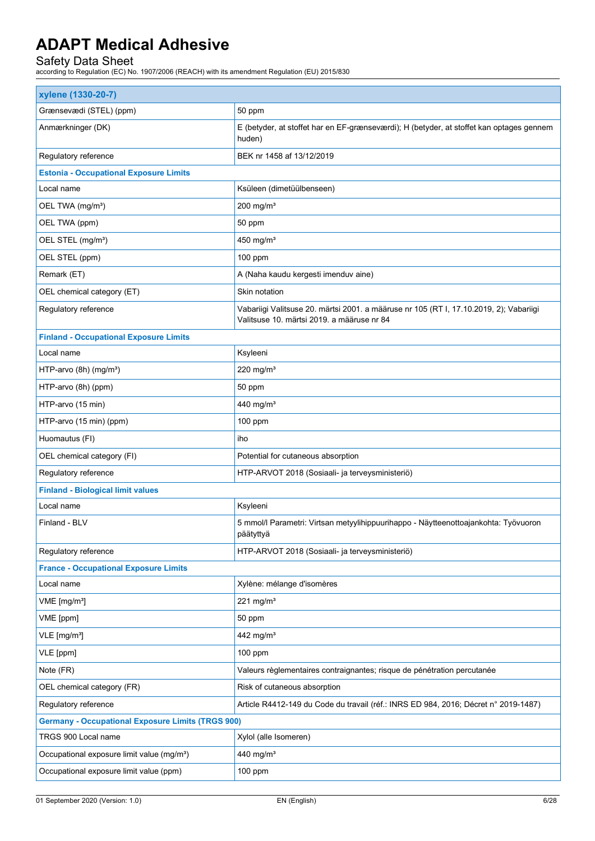| xylene (1330-20-7)                                       |                                                                                                                                      |  |  |
|----------------------------------------------------------|--------------------------------------------------------------------------------------------------------------------------------------|--|--|
| Grænsevædi (STEL) (ppm)                                  | 50 ppm                                                                                                                               |  |  |
| Anmærkninger (DK)                                        | E (betyder, at stoffet har en EF-grænseværdi); H (betyder, at stoffet kan optages gennem<br>huden)                                   |  |  |
| Regulatory reference                                     | BEK nr 1458 af 13/12/2019                                                                                                            |  |  |
| <b>Estonia - Occupational Exposure Limits</b>            |                                                                                                                                      |  |  |
| Local name                                               | Ksüleen (dimetüülbenseen)                                                                                                            |  |  |
| OEL TWA (mg/m <sup>3</sup> )                             | 200 mg/m $3$                                                                                                                         |  |  |
| OEL TWA (ppm)                                            | 50 ppm                                                                                                                               |  |  |
| OEL STEL (mg/m <sup>3</sup> )                            | 450 mg/m <sup>3</sup>                                                                                                                |  |  |
| OEL STEL (ppm)                                           | $100$ ppm                                                                                                                            |  |  |
| Remark (ET)                                              | A (Naha kaudu kergesti imenduv aine)                                                                                                 |  |  |
| OEL chemical category (ET)                               | Skin notation                                                                                                                        |  |  |
| Regulatory reference                                     | Vabariigi Valitsuse 20. märtsi 2001. a määruse nr 105 (RT I, 17.10.2019, 2); Vabariigi<br>Valitsuse 10. märtsi 2019. a määruse nr 84 |  |  |
| <b>Finland - Occupational Exposure Limits</b>            |                                                                                                                                      |  |  |
| Local name                                               | Ksyleeni                                                                                                                             |  |  |
| HTP-arvo (8h) (mg/m <sup>3</sup> )                       | 220 mg/m $3$                                                                                                                         |  |  |
| HTP-arvo (8h) (ppm)                                      | 50 ppm                                                                                                                               |  |  |
| HTP-arvo (15 min)                                        | 440 mg/m <sup>3</sup>                                                                                                                |  |  |
| HTP-arvo (15 min) (ppm)                                  | 100 ppm                                                                                                                              |  |  |
| Huomautus (FI)                                           | iho                                                                                                                                  |  |  |
| OEL chemical category (FI)                               | Potential for cutaneous absorption                                                                                                   |  |  |
| Regulatory reference                                     | HTP-ARVOT 2018 (Sosiaali- ja terveysministeriö)                                                                                      |  |  |
| <b>Finland - Biological limit values</b>                 |                                                                                                                                      |  |  |
| Local name                                               | Ksyleeni                                                                                                                             |  |  |
| Finland - BLV                                            | 5 mmol/l Parametri: Virtsan metyylihippuurihappo - Näytteenottoajankohta: Työvuoron<br>päätyttyä                                     |  |  |
| Regulatory reference                                     | HTP-ARVOT 2018 (Sosiaali- ja terveysministeriö)                                                                                      |  |  |
| <b>France - Occupational Exposure Limits</b>             |                                                                                                                                      |  |  |
| Local name                                               | Xylène: mélange d'isomères                                                                                                           |  |  |
| VME [mg/m <sup>3</sup> ]                                 | 221 mg/m $3$                                                                                                                         |  |  |
| VME [ppm]                                                | 50 ppm                                                                                                                               |  |  |
| VLE [mg/m <sup>3</sup> ]                                 | 442 mg/m <sup>3</sup>                                                                                                                |  |  |
| VLE [ppm]                                                | 100 ppm                                                                                                                              |  |  |
| Note (FR)                                                | Valeurs règlementaires contraignantes; risque de pénétration percutanée                                                              |  |  |
| OEL chemical category (FR)                               | Risk of cutaneous absorption                                                                                                         |  |  |
| Regulatory reference                                     | Article R4412-149 du Code du travail (réf.: INRS ED 984, 2016; Décret n° 2019-1487)                                                  |  |  |
| <b>Germany - Occupational Exposure Limits (TRGS 900)</b> |                                                                                                                                      |  |  |
| TRGS 900 Local name                                      | Xylol (alle Isomeren)                                                                                                                |  |  |
| Occupational exposure limit value (mg/m <sup>3</sup> )   | 440 mg/m <sup>3</sup>                                                                                                                |  |  |
| Occupational exposure limit value (ppm)                  | 100 ppm                                                                                                                              |  |  |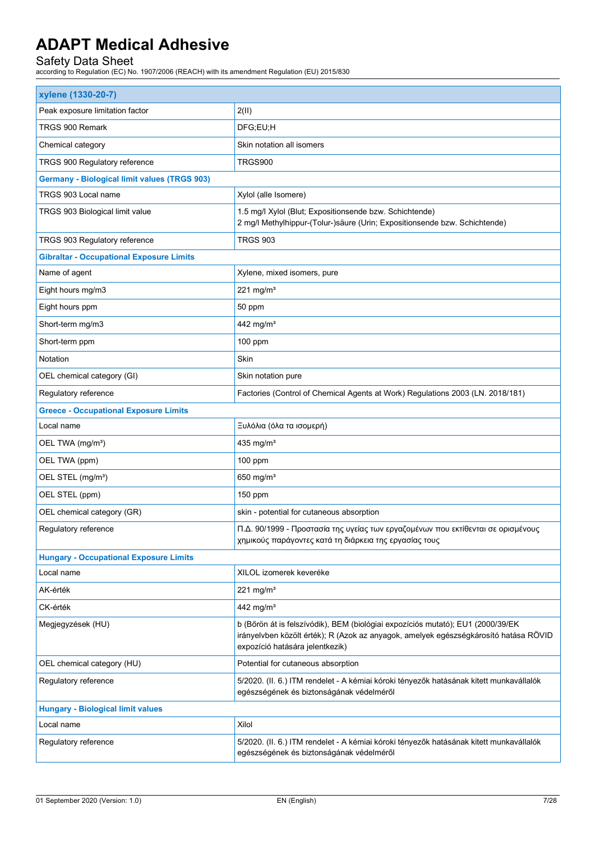| xylene (1330-20-7)                                  |                                                                                                                                                                                                            |
|-----------------------------------------------------|------------------------------------------------------------------------------------------------------------------------------------------------------------------------------------------------------------|
| Peak exposure limitation factor                     | 2(11)                                                                                                                                                                                                      |
| TRGS 900 Remark                                     | DFG;EU;H                                                                                                                                                                                                   |
| Chemical category                                   | Skin notation all isomers                                                                                                                                                                                  |
| TRGS 900 Regulatory reference                       | TRGS900                                                                                                                                                                                                    |
| <b>Germany - Biological limit values (TRGS 903)</b> |                                                                                                                                                                                                            |
| TRGS 903 Local name                                 | Xylol (alle Isomere)                                                                                                                                                                                       |
| TRGS 903 Biological limit value                     | 1.5 mg/l Xylol (Blut; Expositionsende bzw. Schichtende)<br>2 mg/l Methylhippur-(Tolur-)säure (Urin; Expositionsende bzw. Schichtende)                                                                      |
| TRGS 903 Regulatory reference                       | <b>TRGS 903</b>                                                                                                                                                                                            |
| <b>Gibraltar - Occupational Exposure Limits</b>     |                                                                                                                                                                                                            |
| Name of agent                                       | Xylene, mixed isomers, pure                                                                                                                                                                                |
| Eight hours mg/m3                                   | 221 mg/m $3$                                                                                                                                                                                               |
| Eight hours ppm                                     | 50 ppm                                                                                                                                                                                                     |
| Short-term mg/m3                                    | 442 mg/m <sup>3</sup>                                                                                                                                                                                      |
| Short-term ppm                                      | $100$ ppm                                                                                                                                                                                                  |
| Notation                                            | Skin                                                                                                                                                                                                       |
| OEL chemical category (GI)                          | Skin notation pure                                                                                                                                                                                         |
| Regulatory reference                                | Factories (Control of Chemical Agents at Work) Regulations 2003 (LN. 2018/181)                                                                                                                             |
| <b>Greece - Occupational Exposure Limits</b>        |                                                                                                                                                                                                            |
| Local name                                          | Ξυλόλια (όλα τα ισομερή)                                                                                                                                                                                   |
| OEL TWA (mg/m <sup>3</sup> )                        | 435 mg/m <sup>3</sup>                                                                                                                                                                                      |
| OEL TWA (ppm)                                       | 100 ppm                                                                                                                                                                                                    |
| OEL STEL (mg/m <sup>3</sup> )                       | 650 mg/m <sup>3</sup>                                                                                                                                                                                      |
| OEL STEL (ppm)                                      | 150 ppm                                                                                                                                                                                                    |
| OEL chemical category (GR)                          | skin - potential for cutaneous absorption                                                                                                                                                                  |
| Regulatory reference                                | Π.Δ. 90/1999 - Προστασία της υγείας των εργαζομένων που εκτίθενται σε ορισμένους<br>χημικούς παράγοντες κατά τη διάρκεια της εργασίας τους                                                                 |
| <b>Hungary - Occupational Exposure Limits</b>       |                                                                                                                                                                                                            |
| Local name                                          | XILOL izomerek keveréke                                                                                                                                                                                    |
| AK-érték                                            | 221 mg/m $3$                                                                                                                                                                                               |
| CK-érték                                            | 442 mg/m <sup>3</sup>                                                                                                                                                                                      |
| Megjegyzések (HU)                                   | b (Bőrön át is felszívódik), BEM (biológiai expozíciós mutató); EU1 (2000/39/EK<br>irányelvben közölt érték); R (Azok az anyagok, amelyek egészségkárosító hatása RÖVID<br>expozíció hatására jelentkezik) |
| OEL chemical category (HU)                          | Potential for cutaneous absorption                                                                                                                                                                         |
| Regulatory reference                                | 5/2020. (II. 6.) ITM rendelet - A kémiai kóroki tényezők hatásának kitett munkavállalók<br>egészségének és biztonságának védelméről                                                                        |
| <b>Hungary - Biological limit values</b>            |                                                                                                                                                                                                            |
| Local name                                          | Xilol                                                                                                                                                                                                      |
| Regulatory reference                                | 5/2020. (II. 6.) ITM rendelet - A kémiai kóroki tényezők hatásának kitett munkavállalók<br>egészségének és biztonságának védelméről                                                                        |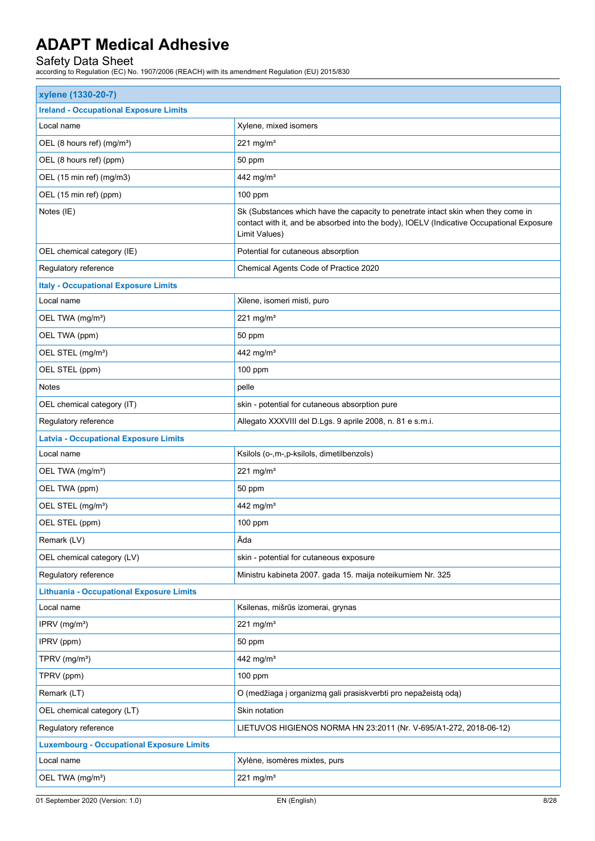| <b>Ireland - Occupational Exposure Limits</b><br>Local name<br>Xylene, mixed isomers<br>221 mg/m $3$<br>OEL (8 hours ref) (mg/m <sup>3</sup> )<br>OEL (8 hours ref) (ppm)<br>50 ppm<br>OEL (15 min ref) (mg/m3)<br>442 mg/m <sup>3</sup><br>OEL (15 min ref) (ppm)<br>100 ppm<br>Notes (IE)<br>Sk (Substances which have the capacity to penetrate intact skin when they come in<br>contact with it, and be absorbed into the body), IOELV (Indicative Occupational Exposure<br>Limit Values)<br>OEL chemical category (IE)<br>Potential for cutaneous absorption<br>Regulatory reference<br>Chemical Agents Code of Practice 2020<br><b>Italy - Occupational Exposure Limits</b><br>Local name<br>Xilene, isomeri misti, puro<br>221 mg/ $m3$<br>OEL TWA (mg/m <sup>3</sup> )<br>OEL TWA (ppm)<br>50 ppm<br>OEL STEL (mg/m <sup>3</sup> )<br>442 mg/m <sup>3</sup><br>OEL STEL (ppm)<br>100 ppm<br>Notes<br>pelle<br>skin - potential for cutaneous absorption pure<br>OEL chemical category (IT)<br>Regulatory reference<br>Allegato XXXVIII del D.Lgs. 9 aprile 2008, n. 81 e s.m.i.<br><b>Latvia - Occupational Exposure Limits</b><br>Ksilols (o-,m-,p-ksilols, dimetilbenzols)<br>Local name<br>221 mg/m $3$<br>OEL TWA (mg/m <sup>3</sup> )<br>OEL TWA (ppm)<br>50 ppm<br>OEL STEL (mg/m <sup>3</sup> )<br>442 mg/m <sup>3</sup><br>OEL STEL (ppm)<br>100 ppm<br>Āda<br>Remark (LV)<br>OEL chemical category (LV)<br>skin - potential for cutaneous exposure<br>Regulatory reference<br>Ministru kabineta 2007. gada 15. maija noteikumiem Nr. 325<br><b>Lithuania - Occupational Exposure Limits</b><br>Local name<br>Ksilenas, mišrūs izomerai, grynas<br>221 mg/m $3$<br>IPRV (mg/m <sup>3</sup> )<br>IPRV (ppm)<br>50 ppm<br>TPRV (mg/m <sup>3</sup> )<br>442 mg/m <sup>3</sup><br>TPRV (ppm)<br>100 ppm<br>Remark (LT)<br>O (medžiaga į organizmą gali prasiskverbti pro nepažeistą odą)<br>OEL chemical category (LT)<br>Skin notation<br>Regulatory reference<br>LIETUVOS HIGIENOS NORMA HN 23:2011 (Nr. V-695/A1-272, 2018-06-12)<br><b>Luxembourg - Occupational Exposure Limits</b><br>Xylène, isomères mixtes, purs<br>Local name<br>221 mg/m <sup>3</sup><br>OEL TWA (mg/m <sup>3</sup> ) | xylene (1330-20-7) |  |  |
|--------------------------------------------------------------------------------------------------------------------------------------------------------------------------------------------------------------------------------------------------------------------------------------------------------------------------------------------------------------------------------------------------------------------------------------------------------------------------------------------------------------------------------------------------------------------------------------------------------------------------------------------------------------------------------------------------------------------------------------------------------------------------------------------------------------------------------------------------------------------------------------------------------------------------------------------------------------------------------------------------------------------------------------------------------------------------------------------------------------------------------------------------------------------------------------------------------------------------------------------------------------------------------------------------------------------------------------------------------------------------------------------------------------------------------------------------------------------------------------------------------------------------------------------------------------------------------------------------------------------------------------------------------------------------------------------------------------------------------------------------------------------------------------------------------------------------------------------------------------------------------------------------------------------------------------------------------------------------------------------------------------------------------------------------------------------------------------------------------------------------------------------------------------------------------------------------------------|--------------------|--|--|
|                                                                                                                                                                                                                                                                                                                                                                                                                                                                                                                                                                                                                                                                                                                                                                                                                                                                                                                                                                                                                                                                                                                                                                                                                                                                                                                                                                                                                                                                                                                                                                                                                                                                                                                                                                                                                                                                                                                                                                                                                                                                                                                                                                                                              |                    |  |  |
|                                                                                                                                                                                                                                                                                                                                                                                                                                                                                                                                                                                                                                                                                                                                                                                                                                                                                                                                                                                                                                                                                                                                                                                                                                                                                                                                                                                                                                                                                                                                                                                                                                                                                                                                                                                                                                                                                                                                                                                                                                                                                                                                                                                                              |                    |  |  |
|                                                                                                                                                                                                                                                                                                                                                                                                                                                                                                                                                                                                                                                                                                                                                                                                                                                                                                                                                                                                                                                                                                                                                                                                                                                                                                                                                                                                                                                                                                                                                                                                                                                                                                                                                                                                                                                                                                                                                                                                                                                                                                                                                                                                              |                    |  |  |
|                                                                                                                                                                                                                                                                                                                                                                                                                                                                                                                                                                                                                                                                                                                                                                                                                                                                                                                                                                                                                                                                                                                                                                                                                                                                                                                                                                                                                                                                                                                                                                                                                                                                                                                                                                                                                                                                                                                                                                                                                                                                                                                                                                                                              |                    |  |  |
|                                                                                                                                                                                                                                                                                                                                                                                                                                                                                                                                                                                                                                                                                                                                                                                                                                                                                                                                                                                                                                                                                                                                                                                                                                                                                                                                                                                                                                                                                                                                                                                                                                                                                                                                                                                                                                                                                                                                                                                                                                                                                                                                                                                                              |                    |  |  |
|                                                                                                                                                                                                                                                                                                                                                                                                                                                                                                                                                                                                                                                                                                                                                                                                                                                                                                                                                                                                                                                                                                                                                                                                                                                                                                                                                                                                                                                                                                                                                                                                                                                                                                                                                                                                                                                                                                                                                                                                                                                                                                                                                                                                              |                    |  |  |
|                                                                                                                                                                                                                                                                                                                                                                                                                                                                                                                                                                                                                                                                                                                                                                                                                                                                                                                                                                                                                                                                                                                                                                                                                                                                                                                                                                                                                                                                                                                                                                                                                                                                                                                                                                                                                                                                                                                                                                                                                                                                                                                                                                                                              |                    |  |  |
|                                                                                                                                                                                                                                                                                                                                                                                                                                                                                                                                                                                                                                                                                                                                                                                                                                                                                                                                                                                                                                                                                                                                                                                                                                                                                                                                                                                                                                                                                                                                                                                                                                                                                                                                                                                                                                                                                                                                                                                                                                                                                                                                                                                                              |                    |  |  |
|                                                                                                                                                                                                                                                                                                                                                                                                                                                                                                                                                                                                                                                                                                                                                                                                                                                                                                                                                                                                                                                                                                                                                                                                                                                                                                                                                                                                                                                                                                                                                                                                                                                                                                                                                                                                                                                                                                                                                                                                                                                                                                                                                                                                              |                    |  |  |
|                                                                                                                                                                                                                                                                                                                                                                                                                                                                                                                                                                                                                                                                                                                                                                                                                                                                                                                                                                                                                                                                                                                                                                                                                                                                                                                                                                                                                                                                                                                                                                                                                                                                                                                                                                                                                                                                                                                                                                                                                                                                                                                                                                                                              |                    |  |  |
|                                                                                                                                                                                                                                                                                                                                                                                                                                                                                                                                                                                                                                                                                                                                                                                                                                                                                                                                                                                                                                                                                                                                                                                                                                                                                                                                                                                                                                                                                                                                                                                                                                                                                                                                                                                                                                                                                                                                                                                                                                                                                                                                                                                                              |                    |  |  |
|                                                                                                                                                                                                                                                                                                                                                                                                                                                                                                                                                                                                                                                                                                                                                                                                                                                                                                                                                                                                                                                                                                                                                                                                                                                                                                                                                                                                                                                                                                                                                                                                                                                                                                                                                                                                                                                                                                                                                                                                                                                                                                                                                                                                              |                    |  |  |
|                                                                                                                                                                                                                                                                                                                                                                                                                                                                                                                                                                                                                                                                                                                                                                                                                                                                                                                                                                                                                                                                                                                                                                                                                                                                                                                                                                                                                                                                                                                                                                                                                                                                                                                                                                                                                                                                                                                                                                                                                                                                                                                                                                                                              |                    |  |  |
|                                                                                                                                                                                                                                                                                                                                                                                                                                                                                                                                                                                                                                                                                                                                                                                                                                                                                                                                                                                                                                                                                                                                                                                                                                                                                                                                                                                                                                                                                                                                                                                                                                                                                                                                                                                                                                                                                                                                                                                                                                                                                                                                                                                                              |                    |  |  |
|                                                                                                                                                                                                                                                                                                                                                                                                                                                                                                                                                                                                                                                                                                                                                                                                                                                                                                                                                                                                                                                                                                                                                                                                                                                                                                                                                                                                                                                                                                                                                                                                                                                                                                                                                                                                                                                                                                                                                                                                                                                                                                                                                                                                              |                    |  |  |
|                                                                                                                                                                                                                                                                                                                                                                                                                                                                                                                                                                                                                                                                                                                                                                                                                                                                                                                                                                                                                                                                                                                                                                                                                                                                                                                                                                                                                                                                                                                                                                                                                                                                                                                                                                                                                                                                                                                                                                                                                                                                                                                                                                                                              |                    |  |  |
|                                                                                                                                                                                                                                                                                                                                                                                                                                                                                                                                                                                                                                                                                                                                                                                                                                                                                                                                                                                                                                                                                                                                                                                                                                                                                                                                                                                                                                                                                                                                                                                                                                                                                                                                                                                                                                                                                                                                                                                                                                                                                                                                                                                                              |                    |  |  |
|                                                                                                                                                                                                                                                                                                                                                                                                                                                                                                                                                                                                                                                                                                                                                                                                                                                                                                                                                                                                                                                                                                                                                                                                                                                                                                                                                                                                                                                                                                                                                                                                                                                                                                                                                                                                                                                                                                                                                                                                                                                                                                                                                                                                              |                    |  |  |
|                                                                                                                                                                                                                                                                                                                                                                                                                                                                                                                                                                                                                                                                                                                                                                                                                                                                                                                                                                                                                                                                                                                                                                                                                                                                                                                                                                                                                                                                                                                                                                                                                                                                                                                                                                                                                                                                                                                                                                                                                                                                                                                                                                                                              |                    |  |  |
|                                                                                                                                                                                                                                                                                                                                                                                                                                                                                                                                                                                                                                                                                                                                                                                                                                                                                                                                                                                                                                                                                                                                                                                                                                                                                                                                                                                                                                                                                                                                                                                                                                                                                                                                                                                                                                                                                                                                                                                                                                                                                                                                                                                                              |                    |  |  |
|                                                                                                                                                                                                                                                                                                                                                                                                                                                                                                                                                                                                                                                                                                                                                                                                                                                                                                                                                                                                                                                                                                                                                                                                                                                                                                                                                                                                                                                                                                                                                                                                                                                                                                                                                                                                                                                                                                                                                                                                                                                                                                                                                                                                              |                    |  |  |
|                                                                                                                                                                                                                                                                                                                                                                                                                                                                                                                                                                                                                                                                                                                                                                                                                                                                                                                                                                                                                                                                                                                                                                                                                                                                                                                                                                                                                                                                                                                                                                                                                                                                                                                                                                                                                                                                                                                                                                                                                                                                                                                                                                                                              |                    |  |  |
|                                                                                                                                                                                                                                                                                                                                                                                                                                                                                                                                                                                                                                                                                                                                                                                                                                                                                                                                                                                                                                                                                                                                                                                                                                                                                                                                                                                                                                                                                                                                                                                                                                                                                                                                                                                                                                                                                                                                                                                                                                                                                                                                                                                                              |                    |  |  |
|                                                                                                                                                                                                                                                                                                                                                                                                                                                                                                                                                                                                                                                                                                                                                                                                                                                                                                                                                                                                                                                                                                                                                                                                                                                                                                                                                                                                                                                                                                                                                                                                                                                                                                                                                                                                                                                                                                                                                                                                                                                                                                                                                                                                              |                    |  |  |
|                                                                                                                                                                                                                                                                                                                                                                                                                                                                                                                                                                                                                                                                                                                                                                                                                                                                                                                                                                                                                                                                                                                                                                                                                                                                                                                                                                                                                                                                                                                                                                                                                                                                                                                                                                                                                                                                                                                                                                                                                                                                                                                                                                                                              |                    |  |  |
|                                                                                                                                                                                                                                                                                                                                                                                                                                                                                                                                                                                                                                                                                                                                                                                                                                                                                                                                                                                                                                                                                                                                                                                                                                                                                                                                                                                                                                                                                                                                                                                                                                                                                                                                                                                                                                                                                                                                                                                                                                                                                                                                                                                                              |                    |  |  |
|                                                                                                                                                                                                                                                                                                                                                                                                                                                                                                                                                                                                                                                                                                                                                                                                                                                                                                                                                                                                                                                                                                                                                                                                                                                                                                                                                                                                                                                                                                                                                                                                                                                                                                                                                                                                                                                                                                                                                                                                                                                                                                                                                                                                              |                    |  |  |
|                                                                                                                                                                                                                                                                                                                                                                                                                                                                                                                                                                                                                                                                                                                                                                                                                                                                                                                                                                                                                                                                                                                                                                                                                                                                                                                                                                                                                                                                                                                                                                                                                                                                                                                                                                                                                                                                                                                                                                                                                                                                                                                                                                                                              |                    |  |  |
|                                                                                                                                                                                                                                                                                                                                                                                                                                                                                                                                                                                                                                                                                                                                                                                                                                                                                                                                                                                                                                                                                                                                                                                                                                                                                                                                                                                                                                                                                                                                                                                                                                                                                                                                                                                                                                                                                                                                                                                                                                                                                                                                                                                                              |                    |  |  |
|                                                                                                                                                                                                                                                                                                                                                                                                                                                                                                                                                                                                                                                                                                                                                                                                                                                                                                                                                                                                                                                                                                                                                                                                                                                                                                                                                                                                                                                                                                                                                                                                                                                                                                                                                                                                                                                                                                                                                                                                                                                                                                                                                                                                              |                    |  |  |
|                                                                                                                                                                                                                                                                                                                                                                                                                                                                                                                                                                                                                                                                                                                                                                                                                                                                                                                                                                                                                                                                                                                                                                                                                                                                                                                                                                                                                                                                                                                                                                                                                                                                                                                                                                                                                                                                                                                                                                                                                                                                                                                                                                                                              |                    |  |  |
|                                                                                                                                                                                                                                                                                                                                                                                                                                                                                                                                                                                                                                                                                                                                                                                                                                                                                                                                                                                                                                                                                                                                                                                                                                                                                                                                                                                                                                                                                                                                                                                                                                                                                                                                                                                                                                                                                                                                                                                                                                                                                                                                                                                                              |                    |  |  |
|                                                                                                                                                                                                                                                                                                                                                                                                                                                                                                                                                                                                                                                                                                                                                                                                                                                                                                                                                                                                                                                                                                                                                                                                                                                                                                                                                                                                                                                                                                                                                                                                                                                                                                                                                                                                                                                                                                                                                                                                                                                                                                                                                                                                              |                    |  |  |
|                                                                                                                                                                                                                                                                                                                                                                                                                                                                                                                                                                                                                                                                                                                                                                                                                                                                                                                                                                                                                                                                                                                                                                                                                                                                                                                                                                                                                                                                                                                                                                                                                                                                                                                                                                                                                                                                                                                                                                                                                                                                                                                                                                                                              |                    |  |  |
|                                                                                                                                                                                                                                                                                                                                                                                                                                                                                                                                                                                                                                                                                                                                                                                                                                                                                                                                                                                                                                                                                                                                                                                                                                                                                                                                                                                                                                                                                                                                                                                                                                                                                                                                                                                                                                                                                                                                                                                                                                                                                                                                                                                                              |                    |  |  |
|                                                                                                                                                                                                                                                                                                                                                                                                                                                                                                                                                                                                                                                                                                                                                                                                                                                                                                                                                                                                                                                                                                                                                                                                                                                                                                                                                                                                                                                                                                                                                                                                                                                                                                                                                                                                                                                                                                                                                                                                                                                                                                                                                                                                              |                    |  |  |
|                                                                                                                                                                                                                                                                                                                                                                                                                                                                                                                                                                                                                                                                                                                                                                                                                                                                                                                                                                                                                                                                                                                                                                                                                                                                                                                                                                                                                                                                                                                                                                                                                                                                                                                                                                                                                                                                                                                                                                                                                                                                                                                                                                                                              |                    |  |  |
|                                                                                                                                                                                                                                                                                                                                                                                                                                                                                                                                                                                                                                                                                                                                                                                                                                                                                                                                                                                                                                                                                                                                                                                                                                                                                                                                                                                                                                                                                                                                                                                                                                                                                                                                                                                                                                                                                                                                                                                                                                                                                                                                                                                                              |                    |  |  |
|                                                                                                                                                                                                                                                                                                                                                                                                                                                                                                                                                                                                                                                                                                                                                                                                                                                                                                                                                                                                                                                                                                                                                                                                                                                                                                                                                                                                                                                                                                                                                                                                                                                                                                                                                                                                                                                                                                                                                                                                                                                                                                                                                                                                              |                    |  |  |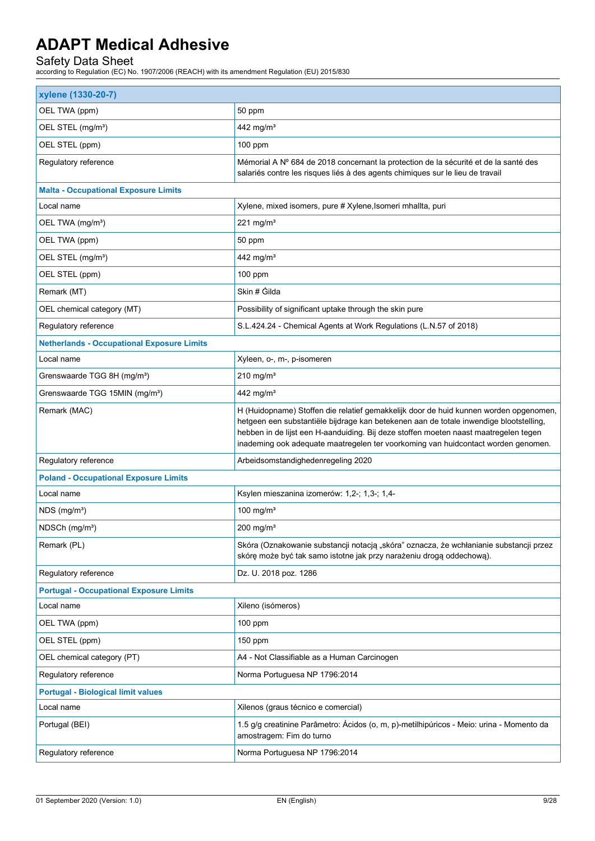| xylene (1330-20-7)                                |                                                                                                                                                                                                                                                                                                                                                              |  |
|---------------------------------------------------|--------------------------------------------------------------------------------------------------------------------------------------------------------------------------------------------------------------------------------------------------------------------------------------------------------------------------------------------------------------|--|
| OEL TWA (ppm)                                     | 50 ppm                                                                                                                                                                                                                                                                                                                                                       |  |
| OEL STEL (mg/m <sup>3</sup> )                     | 442 mg/m <sup>3</sup>                                                                                                                                                                                                                                                                                                                                        |  |
| OEL STEL (ppm)                                    | 100 ppm                                                                                                                                                                                                                                                                                                                                                      |  |
| Regulatory reference                              | Mémorial A Nº 684 de 2018 concernant la protection de la sécurité et de la santé des<br>salariés contre les risques liés à des agents chimiques sur le lieu de travail                                                                                                                                                                                       |  |
| <b>Malta - Occupational Exposure Limits</b>       |                                                                                                                                                                                                                                                                                                                                                              |  |
| Local name                                        | Xylene, mixed isomers, pure # Xylene, Isomeri mhallta, puri                                                                                                                                                                                                                                                                                                  |  |
| OEL TWA (mg/m <sup>3</sup> )                      | 221 mg/m $3$                                                                                                                                                                                                                                                                                                                                                 |  |
| OEL TWA (ppm)                                     | 50 ppm                                                                                                                                                                                                                                                                                                                                                       |  |
| OEL STEL (mg/m <sup>3</sup> )                     | 442 mg/m <sup>3</sup>                                                                                                                                                                                                                                                                                                                                        |  |
| OEL STEL (ppm)                                    | 100 ppm                                                                                                                                                                                                                                                                                                                                                      |  |
| Remark (MT)                                       | Skin # Gilda                                                                                                                                                                                                                                                                                                                                                 |  |
| OEL chemical category (MT)                        | Possibility of significant uptake through the skin pure                                                                                                                                                                                                                                                                                                      |  |
| Regulatory reference                              | S.L.424.24 - Chemical Agents at Work Regulations (L.N.57 of 2018)                                                                                                                                                                                                                                                                                            |  |
| <b>Netherlands - Occupational Exposure Limits</b> |                                                                                                                                                                                                                                                                                                                                                              |  |
| Local name                                        | Xyleen, o-, m-, p-isomeren                                                                                                                                                                                                                                                                                                                                   |  |
| Grenswaarde TGG 8H (mg/m <sup>3</sup> )           | $210$ mg/m <sup>3</sup>                                                                                                                                                                                                                                                                                                                                      |  |
| Grenswaarde TGG 15MIN (mg/m <sup>3</sup> )        | 442 mg/m <sup>3</sup>                                                                                                                                                                                                                                                                                                                                        |  |
| Remark (MAC)                                      | H (Huidopname) Stoffen die relatief gemakkelijk door de huid kunnen worden opgenomen,<br>hetgeen een substantiële bijdrage kan betekenen aan de totale inwendige blootstelling,<br>hebben in de lijst een H-aanduiding. Bij deze stoffen moeten naast maatregelen tegen<br>inademing ook adequate maatregelen ter voorkoming van huidcontact worden genomen. |  |
| Regulatory reference                              | Arbeidsomstandighedenregeling 2020                                                                                                                                                                                                                                                                                                                           |  |
| <b>Poland - Occupational Exposure Limits</b>      |                                                                                                                                                                                                                                                                                                                                                              |  |
| Local name                                        | Ksylen mieszanina izomerów: 1,2-; 1,3-; 1,4-                                                                                                                                                                                                                                                                                                                 |  |
| $NDS$ (mg/m <sup>3</sup> )                        | 100 mg/ $m3$                                                                                                                                                                                                                                                                                                                                                 |  |
| NDSCh (mg/m <sup>3</sup> )                        | $200$ mg/m <sup>3</sup>                                                                                                                                                                                                                                                                                                                                      |  |
| Remark (PL)                                       | Skóra (Oznakowanie substancji notacją "skóra" oznacza, że wchłanianie substancji przez<br>skórę może być tak samo istotne jak przy narażeniu drogą oddechową).                                                                                                                                                                                               |  |
| Regulatory reference                              | Dz. U. 2018 poz. 1286                                                                                                                                                                                                                                                                                                                                        |  |
| <b>Portugal - Occupational Exposure Limits</b>    |                                                                                                                                                                                                                                                                                                                                                              |  |
| Local name                                        | Xileno (isómeros)                                                                                                                                                                                                                                                                                                                                            |  |
| OEL TWA (ppm)                                     | $100$ ppm                                                                                                                                                                                                                                                                                                                                                    |  |
| OEL STEL (ppm)                                    | 150 ppm                                                                                                                                                                                                                                                                                                                                                      |  |
| OEL chemical category (PT)                        | A4 - Not Classifiable as a Human Carcinogen                                                                                                                                                                                                                                                                                                                  |  |
| Regulatory reference                              | Norma Portuguesa NP 1796:2014                                                                                                                                                                                                                                                                                                                                |  |
| <b>Portugal - Biological limit values</b>         |                                                                                                                                                                                                                                                                                                                                                              |  |
| Local name                                        | Xilenos (graus técnico e comercial)                                                                                                                                                                                                                                                                                                                          |  |
| Portugal (BEI)                                    | 1.5 g/g creatinine Parâmetro: Ácidos (o, m, p)-metilhipúricos - Meio: urina - Momento da<br>amostragem: Fim do turno                                                                                                                                                                                                                                         |  |
| Regulatory reference                              | Norma Portuguesa NP 1796:2014                                                                                                                                                                                                                                                                                                                                |  |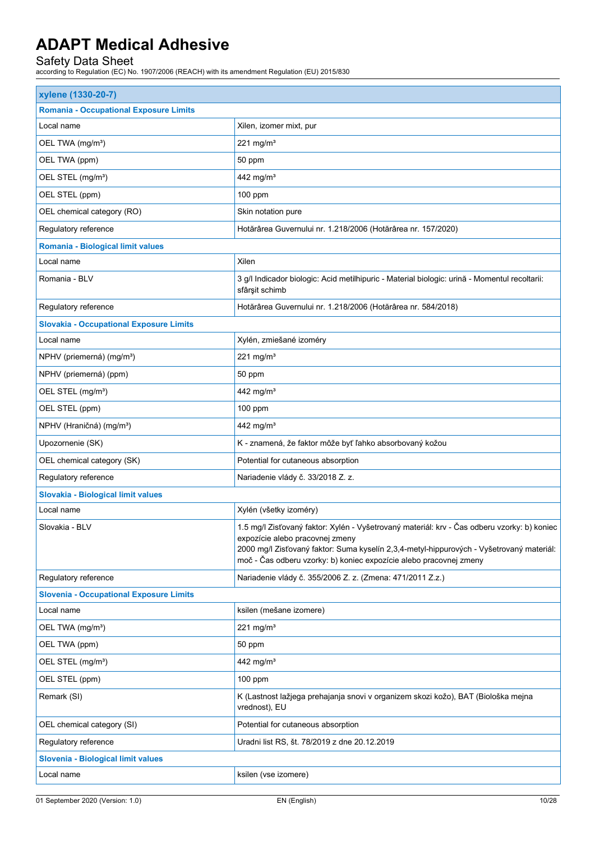| xylene (1330-20-7)                             |                                                                                                                                                                                                                                                                                                  |
|------------------------------------------------|--------------------------------------------------------------------------------------------------------------------------------------------------------------------------------------------------------------------------------------------------------------------------------------------------|
| <b>Romania - Occupational Exposure Limits</b>  |                                                                                                                                                                                                                                                                                                  |
| Local name                                     | Xilen, izomer mixt, pur                                                                                                                                                                                                                                                                          |
| OEL TWA (mg/m <sup>3</sup> )                   | 221 mg/m $3$                                                                                                                                                                                                                                                                                     |
| OEL TWA (ppm)                                  | 50 ppm                                                                                                                                                                                                                                                                                           |
| OEL STEL (mg/m <sup>3</sup> )                  | 442 mg/m <sup>3</sup>                                                                                                                                                                                                                                                                            |
| OEL STEL (ppm)                                 | 100 ppm                                                                                                                                                                                                                                                                                          |
| OEL chemical category (RO)                     | Skin notation pure                                                                                                                                                                                                                                                                               |
| Regulatory reference                           | Hotărârea Guvernului nr. 1.218/2006 (Hotărârea nr. 157/2020)                                                                                                                                                                                                                                     |
| Romania - Biological limit values              |                                                                                                                                                                                                                                                                                                  |
| Local name                                     | Xilen                                                                                                                                                                                                                                                                                            |
| Romania - BLV                                  | 3 g/l Indicador biologic: Acid metilhipuric - Material biologic: urină - Momentul recoltarii:<br>sfârșit schimb                                                                                                                                                                                  |
| Regulatory reference                           | Hotărârea Guvernului nr. 1.218/2006 (Hotărârea nr. 584/2018)                                                                                                                                                                                                                                     |
| <b>Slovakia - Occupational Exposure Limits</b> |                                                                                                                                                                                                                                                                                                  |
| Local name                                     | Xylén, zmiešané izoméry                                                                                                                                                                                                                                                                          |
| NPHV (priemerná) (mg/m <sup>3</sup> )          | 221 mg/m $3$                                                                                                                                                                                                                                                                                     |
| NPHV (priemerná) (ppm)                         | 50 ppm                                                                                                                                                                                                                                                                                           |
| OEL STEL (mg/m <sup>3</sup> )                  | 442 mg/m <sup>3</sup>                                                                                                                                                                                                                                                                            |
| OEL STEL (ppm)                                 | 100 ppm                                                                                                                                                                                                                                                                                          |
| NPHV (Hraničná) (mg/m <sup>3</sup> )           | 442 mg/m <sup>3</sup>                                                                                                                                                                                                                                                                            |
| Upozornenie (SK)                               | K - znamená, že faktor môže byť ľahko absorbovaný kožou                                                                                                                                                                                                                                          |
| OEL chemical category (SK)                     | Potential for cutaneous absorption                                                                                                                                                                                                                                                               |
| Regulatory reference                           | Nariadenie vlády č. 33/2018 Z. z.                                                                                                                                                                                                                                                                |
| Slovakia - Biological limit values             |                                                                                                                                                                                                                                                                                                  |
| Local name                                     | Xylén (všetky izoméry)                                                                                                                                                                                                                                                                           |
| Slovakia - BLV                                 | 1.5 mg/l Zisťovaný faktor: Xylén - Vyšetrovaný materiál: krv - Čas odberu vzorky: b) koniec<br>expozície alebo pracovnej zmeny<br>2000 mg/l Zisťovaný faktor: Suma kyselín 2,3,4-metyl-hippurových - Vyšetrovaný materiál:<br>moč - Čas odberu vzorky: b) koniec expozície alebo pracovnej zmeny |
| Regulatory reference                           | Nariadenie vlády č. 355/2006 Z. z. (Zmena: 471/2011 Z.z.)                                                                                                                                                                                                                                        |
| <b>Slovenia - Occupational Exposure Limits</b> |                                                                                                                                                                                                                                                                                                  |
| Local name                                     | ksilen (mešane izomere)                                                                                                                                                                                                                                                                          |
| OEL TWA (mg/m <sup>3</sup> )                   | 221 mg/m $3$                                                                                                                                                                                                                                                                                     |
| OEL TWA (ppm)                                  | 50 ppm                                                                                                                                                                                                                                                                                           |
| OEL STEL (mg/m <sup>3</sup> )                  | 442 mg/m <sup>3</sup>                                                                                                                                                                                                                                                                            |
| OEL STEL (ppm)                                 | $100$ ppm                                                                                                                                                                                                                                                                                        |
| Remark (SI)                                    | K (Lastnost lažjega prehajanja snovi v organizem skozi kožo), BAT (Biološka mejna<br>vrednost), EU                                                                                                                                                                                               |
| OEL chemical category (SI)                     | Potential for cutaneous absorption                                                                                                                                                                                                                                                               |
| Regulatory reference                           | Uradni list RS, št. 78/2019 z dne 20.12.2019                                                                                                                                                                                                                                                     |
| Slovenia - Biological limit values             |                                                                                                                                                                                                                                                                                                  |
| Local name                                     | ksilen (vse izomere)                                                                                                                                                                                                                                                                             |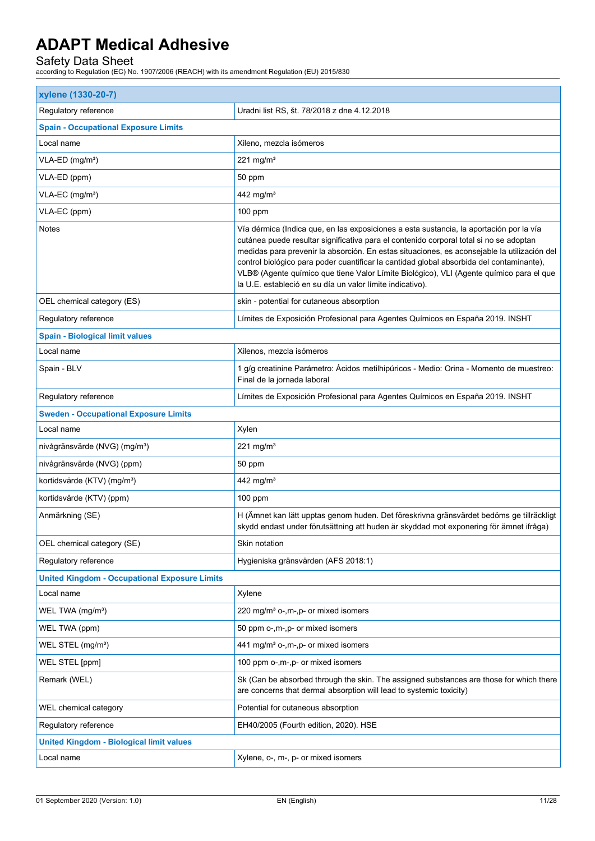| xylene (1330-20-7)                                   |                                                                                                                                                                                                                                                                                                                                                                                                                                                                                                                                      |  |
|------------------------------------------------------|--------------------------------------------------------------------------------------------------------------------------------------------------------------------------------------------------------------------------------------------------------------------------------------------------------------------------------------------------------------------------------------------------------------------------------------------------------------------------------------------------------------------------------------|--|
| Regulatory reference                                 | Uradni list RS, št. 78/2018 z dne 4.12.2018                                                                                                                                                                                                                                                                                                                                                                                                                                                                                          |  |
| <b>Spain - Occupational Exposure Limits</b>          |                                                                                                                                                                                                                                                                                                                                                                                                                                                                                                                                      |  |
| Local name                                           | Xileno, mezcla isómeros                                                                                                                                                                                                                                                                                                                                                                                                                                                                                                              |  |
| VLA-ED (mg/m <sup>3</sup> )                          | 221 mg/m $3$                                                                                                                                                                                                                                                                                                                                                                                                                                                                                                                         |  |
| VLA-ED (ppm)                                         | 50 ppm                                                                                                                                                                                                                                                                                                                                                                                                                                                                                                                               |  |
| VLA-EC (mg/m <sup>3</sup> )                          | 442 mg/m <sup>3</sup>                                                                                                                                                                                                                                                                                                                                                                                                                                                                                                                |  |
| VLA-EC (ppm)                                         | $100$ ppm                                                                                                                                                                                                                                                                                                                                                                                                                                                                                                                            |  |
| <b>Notes</b>                                         | Vía dérmica (Indica que, en las exposiciones a esta sustancia, la aportación por la vía<br>cutánea puede resultar significativa para el contenido corporal total si no se adoptan<br>medidas para prevenir la absorción. En estas situaciones, es aconsejable la utilización del<br>control biológico para poder cuantificar la cantidad global absorbida del contaminante),<br>VLB® (Agente químico que tiene Valor Límite Biológico), VLI (Agente químico para el que<br>la U.E. estableció en su día un valor límite indicativo). |  |
| OEL chemical category (ES)                           | skin - potential for cutaneous absorption                                                                                                                                                                                                                                                                                                                                                                                                                                                                                            |  |
| Regulatory reference                                 | Límites de Exposición Profesional para Agentes Químicos en España 2019. INSHT                                                                                                                                                                                                                                                                                                                                                                                                                                                        |  |
| <b>Spain - Biological limit values</b>               |                                                                                                                                                                                                                                                                                                                                                                                                                                                                                                                                      |  |
| Local name                                           | Xilenos, mezcla isómeros                                                                                                                                                                                                                                                                                                                                                                                                                                                                                                             |  |
| Spain - BLV                                          | 1 g/g creatinine Parámetro: Ácidos metilhipúricos - Medio: Orina - Momento de muestreo:<br>Final de la jornada laboral                                                                                                                                                                                                                                                                                                                                                                                                               |  |
| Regulatory reference                                 | Límites de Exposición Profesional para Agentes Químicos en España 2019. INSHT                                                                                                                                                                                                                                                                                                                                                                                                                                                        |  |
| <b>Sweden - Occupational Exposure Limits</b>         |                                                                                                                                                                                                                                                                                                                                                                                                                                                                                                                                      |  |
| Local name                                           | Xylen                                                                                                                                                                                                                                                                                                                                                                                                                                                                                                                                |  |
| nivågränsvärde (NVG) (mg/m <sup>3</sup> )            | 221 mg/m $3$                                                                                                                                                                                                                                                                                                                                                                                                                                                                                                                         |  |
| nivågränsvärde (NVG) (ppm)                           | 50 ppm                                                                                                                                                                                                                                                                                                                                                                                                                                                                                                                               |  |
| kortidsvärde (KTV) (mg/m <sup>3</sup> )              | 442 mg/m <sup>3</sup>                                                                                                                                                                                                                                                                                                                                                                                                                                                                                                                |  |
| kortidsvärde (KTV) (ppm)                             | $100$ ppm                                                                                                                                                                                                                                                                                                                                                                                                                                                                                                                            |  |
| Anmärkning (SE)                                      | H (Ämnet kan lätt upptas genom huden. Det föreskrivna gränsvärdet bedöms ge tillräckligt<br>skydd endast under förutsättning att huden är skyddad mot exponering för ämnet ifråga)                                                                                                                                                                                                                                                                                                                                                   |  |
| OEL chemical category (SE)                           | Skin notation                                                                                                                                                                                                                                                                                                                                                                                                                                                                                                                        |  |
| Regulatory reference                                 | Hygieniska gränsvärden (AFS 2018:1)                                                                                                                                                                                                                                                                                                                                                                                                                                                                                                  |  |
| <b>United Kingdom - Occupational Exposure Limits</b> |                                                                                                                                                                                                                                                                                                                                                                                                                                                                                                                                      |  |
| Local name                                           | Xylene                                                                                                                                                                                                                                                                                                                                                                                                                                                                                                                               |  |
| WEL TWA (mg/m <sup>3</sup> )                         | 220 mg/m <sup>3</sup> o-,m-,p- or mixed isomers                                                                                                                                                                                                                                                                                                                                                                                                                                                                                      |  |
| WEL TWA (ppm)                                        | 50 ppm o-,m-,p- or mixed isomers                                                                                                                                                                                                                                                                                                                                                                                                                                                                                                     |  |
| WEL STEL (mg/m <sup>3</sup> )                        | 441 mg/m <sup>3</sup> o-,m-,p- or mixed isomers                                                                                                                                                                                                                                                                                                                                                                                                                                                                                      |  |
| WEL STEL [ppm]                                       | 100 ppm o-,m-,p- or mixed isomers                                                                                                                                                                                                                                                                                                                                                                                                                                                                                                    |  |
| Remark (WEL)                                         | Sk (Can be absorbed through the skin. The assigned substances are those for which there<br>are concerns that dermal absorption will lead to systemic toxicity)                                                                                                                                                                                                                                                                                                                                                                       |  |
| WEL chemical category                                | Potential for cutaneous absorption                                                                                                                                                                                                                                                                                                                                                                                                                                                                                                   |  |
| Regulatory reference                                 | EH40/2005 (Fourth edition, 2020). HSE                                                                                                                                                                                                                                                                                                                                                                                                                                                                                                |  |
| <b>United Kingdom - Biological limit values</b>      |                                                                                                                                                                                                                                                                                                                                                                                                                                                                                                                                      |  |
| Local name                                           | Xylene, o-, m-, p- or mixed isomers                                                                                                                                                                                                                                                                                                                                                                                                                                                                                                  |  |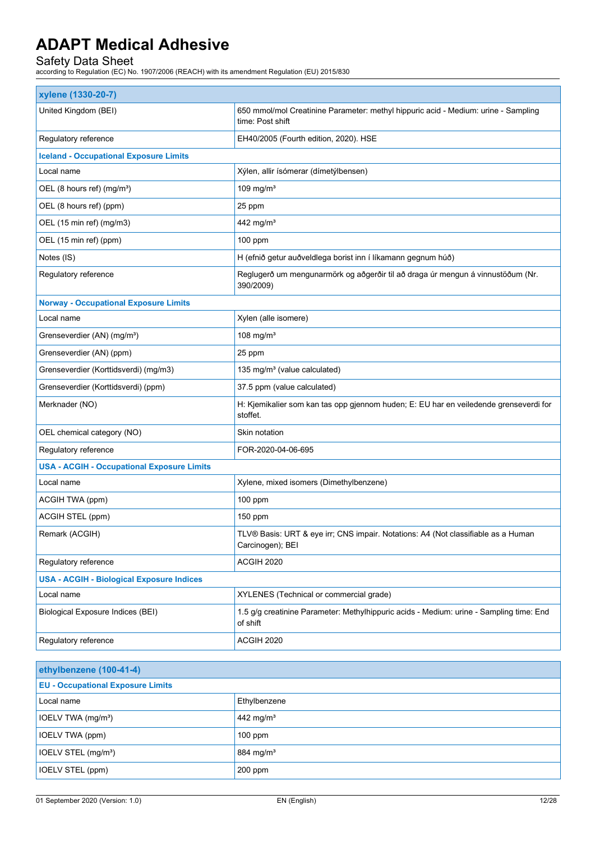| xylene (1330-20-7)                                |                                                                                                        |  |
|---------------------------------------------------|--------------------------------------------------------------------------------------------------------|--|
| United Kingdom (BEI)                              | 650 mmol/mol Creatinine Parameter: methyl hippuric acid - Medium: urine - Sampling<br>time: Post shift |  |
| Regulatory reference                              | EH40/2005 (Fourth edition, 2020). HSE                                                                  |  |
| <b>Iceland - Occupational Exposure Limits</b>     |                                                                                                        |  |
| Local name                                        | Xýlen, allir ísómerar (dímetýlbensen)                                                                  |  |
| OEL (8 hours ref) (mg/m <sup>3</sup> )            | 109 mg/ $m3$                                                                                           |  |
| OEL (8 hours ref) (ppm)                           | 25 ppm                                                                                                 |  |
| OEL (15 min ref) (mg/m3)                          | 442 mg/m <sup>3</sup>                                                                                  |  |
| OEL (15 min ref) (ppm)                            | 100 ppm                                                                                                |  |
| Notes (IS)                                        | H (efnið getur auðveldlega borist inn í líkamann gegnum húð)                                           |  |
| Regulatory reference                              | Reglugerð um mengunarmörk og aðgerðir til að draga úr mengun á vinnustöðum (Nr.<br>390/2009)           |  |
| <b>Norway - Occupational Exposure Limits</b>      |                                                                                                        |  |
| Local name                                        | Xylen (alle isomere)                                                                                   |  |
| Grenseverdier (AN) (mg/m <sup>3</sup> )           | 108 mg/ $m3$                                                                                           |  |
| Grenseverdier (AN) (ppm)                          | 25 ppm                                                                                                 |  |
| Grenseverdier (Korttidsverdi) (mg/m3)             | 135 mg/m <sup>3</sup> (value calculated)                                                               |  |
| Grenseverdier (Korttidsverdi) (ppm)               | 37.5 ppm (value calculated)                                                                            |  |
| Merknader (NO)                                    | H: Kjemikalier som kan tas opp gjennom huden; E: EU har en veiledende grenseverdi for<br>stoffet.      |  |
| OEL chemical category (NO)                        | Skin notation                                                                                          |  |
| Regulatory reference                              | FOR-2020-04-06-695                                                                                     |  |
| <b>USA - ACGIH - Occupational Exposure Limits</b> |                                                                                                        |  |
| Local name                                        | Xylene, mixed isomers (Dimethylbenzene)                                                                |  |
| ACGIH TWA (ppm)                                   | 100 ppm                                                                                                |  |
| ACGIH STEL (ppm)                                  | 150 ppm                                                                                                |  |
| Remark (ACGIH)                                    | TLV® Basis: URT & eye irr; CNS impair. Notations: A4 (Not classifiable as a Human<br>Carcinogen); BEI  |  |
| Regulatory reference                              | ACGIH 2020                                                                                             |  |
| <b>USA - ACGIH - Biological Exposure Indices</b>  |                                                                                                        |  |
| Local name                                        | XYLENES (Technical or commercial grade)                                                                |  |
| Biological Exposure Indices (BEI)                 | 1.5 g/g creatinine Parameter: Methylhippuric acids - Medium: urine - Sampling time: End<br>of shift    |  |
| Regulatory reference                              | ACGIH 2020                                                                                             |  |

| ethylbenzene (100-41-4)                  |                       |
|------------------------------------------|-----------------------|
| <b>EU - Occupational Exposure Limits</b> |                       |
| Local name                               | Ethylbenzene          |
| IOELV TWA (mg/m <sup>3</sup> )           | 442 mg/m <sup>3</sup> |
| IOELV TWA (ppm)                          | $100$ ppm             |
| IOELV STEL (mg/m <sup>3</sup> )          | 884 mg/m <sup>3</sup> |
| <b>IOELV STEL (ppm)</b>                  | 200 ppm               |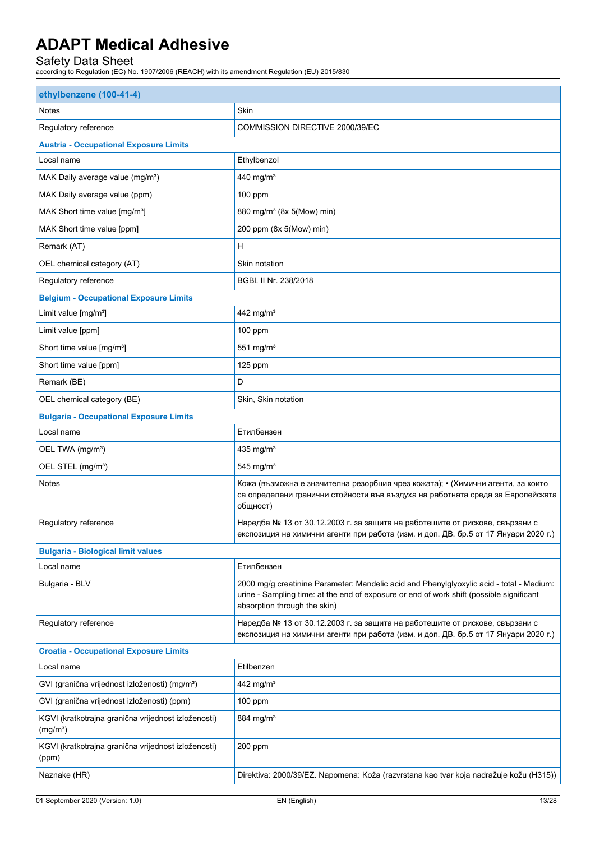| Skin<br>Notes<br>Regulatory reference<br>COMMISSION DIRECTIVE 2000/39/EC<br><b>Austria - Occupational Exposure Limits</b><br>Local name<br>Ethylbenzol<br>MAK Daily average value (mg/m <sup>3</sup> )<br>440 mg/m <sup>3</sup><br>MAK Daily average value (ppm)<br>100 ppm<br>880 mg/m <sup>3</sup> (8x 5(Mow) min)<br>MAK Short time value [mg/m <sup>3</sup> ]<br>MAK Short time value [ppm]<br>200 ppm (8x 5(Mow) min)<br>Н<br>Remark (AT)<br>OEL chemical category (AT)<br>Skin notation<br>Regulatory reference<br>BGBI. II Nr. 238/2018<br><b>Belgium - Occupational Exposure Limits</b><br>442 mg/m <sup>3</sup><br>Limit value [mg/m <sup>3</sup> ]<br>Limit value [ppm]<br>$100$ ppm<br>Short time value [mg/m <sup>3</sup> ]<br>551 mg/ $m3$<br>Short time value [ppm]<br>$125$ ppm<br>D<br>Remark (BE)<br>OEL chemical category (BE)<br>Skin, Skin notation<br><b>Bulgaria - Occupational Exposure Limits</b><br>Local name<br>Етилбензен<br>OEL TWA (mg/m <sup>3</sup> )<br>435 mg/m <sup>3</sup><br>OEL STEL (mg/m <sup>3</sup> )<br>$545$ mg/m <sup>3</sup><br>Notes<br>Кожа (възможна е значителна резорбция чрез кожата); • (Химични агенти, за които<br>са определени гранични стойности във въздуха на работната среда за Европейската<br>общност)<br>Regulatory reference<br>Наредба № 13 от 30.12.2003 г. за защита на работещите от рискове, свързани с<br>експозиция на химични агенти при работа (изм. и доп. ДВ. бр.5 от 17 Януари 2020 г.)<br><b>Bulgaria - Biological limit values</b><br>Етилбензен<br>Local name<br>2000 mg/g creatinine Parameter: Mandelic acid and Phenylglyoxylic acid - total - Medium:<br>Bulgaria - BLV<br>urine - Sampling time: at the end of exposure or end of work shift (possible significant<br>absorption through the skin)<br>Наредба № 13 от 30.12.2003 г. за защита на работещите от рискове, свързани с<br>Regulatory reference<br>експозиция на химични агенти при работа (изм. и доп. ДВ. бр.5 от 17 Януари 2020 г.)<br><b>Croatia - Occupational Exposure Limits</b><br>Local name<br>Etilbenzen<br>GVI (granična vrijednost izloženosti) (mg/m <sup>3</sup> )<br>442 mg/m <sup>3</sup><br>GVI (granična vrijednost izloženosti) (ppm)<br>$100$ ppm<br>KGVI (kratkotrajna granična vrijednost izloženosti)<br>884 mg/m <sup>3</sup><br>(mg/m <sup>3</sup> )<br>KGVI (kratkotrajna granična vrijednost izloženosti)<br>200 ppm<br>(ppm)<br>Naznake (HR)<br>Direktiva: 2000/39/EZ. Napomena: Koža (razvrstana kao tvar koja nadražuje kožu (H315)) | ethylbenzene (100-41-4) |  |  |
|---------------------------------------------------------------------------------------------------------------------------------------------------------------------------------------------------------------------------------------------------------------------------------------------------------------------------------------------------------------------------------------------------------------------------------------------------------------------------------------------------------------------------------------------------------------------------------------------------------------------------------------------------------------------------------------------------------------------------------------------------------------------------------------------------------------------------------------------------------------------------------------------------------------------------------------------------------------------------------------------------------------------------------------------------------------------------------------------------------------------------------------------------------------------------------------------------------------------------------------------------------------------------------------------------------------------------------------------------------------------------------------------------------------------------------------------------------------------------------------------------------------------------------------------------------------------------------------------------------------------------------------------------------------------------------------------------------------------------------------------------------------------------------------------------------------------------------------------------------------------------------------------------------------------------------------------------------------------------------------------------------------------------------------------------------------------------------------------------------------------------------------------------------------------------------------------------------------------------------------------------------------------------------------------------------------------------------------------------------------------------------------------------------------------------------------------------------------------------------------------------------------------|-------------------------|--|--|
|                                                                                                                                                                                                                                                                                                                                                                                                                                                                                                                                                                                                                                                                                                                                                                                                                                                                                                                                                                                                                                                                                                                                                                                                                                                                                                                                                                                                                                                                                                                                                                                                                                                                                                                                                                                                                                                                                                                                                                                                                                                                                                                                                                                                                                                                                                                                                                                                                                                                                                                     |                         |  |  |
|                                                                                                                                                                                                                                                                                                                                                                                                                                                                                                                                                                                                                                                                                                                                                                                                                                                                                                                                                                                                                                                                                                                                                                                                                                                                                                                                                                                                                                                                                                                                                                                                                                                                                                                                                                                                                                                                                                                                                                                                                                                                                                                                                                                                                                                                                                                                                                                                                                                                                                                     |                         |  |  |
|                                                                                                                                                                                                                                                                                                                                                                                                                                                                                                                                                                                                                                                                                                                                                                                                                                                                                                                                                                                                                                                                                                                                                                                                                                                                                                                                                                                                                                                                                                                                                                                                                                                                                                                                                                                                                                                                                                                                                                                                                                                                                                                                                                                                                                                                                                                                                                                                                                                                                                                     |                         |  |  |
|                                                                                                                                                                                                                                                                                                                                                                                                                                                                                                                                                                                                                                                                                                                                                                                                                                                                                                                                                                                                                                                                                                                                                                                                                                                                                                                                                                                                                                                                                                                                                                                                                                                                                                                                                                                                                                                                                                                                                                                                                                                                                                                                                                                                                                                                                                                                                                                                                                                                                                                     |                         |  |  |
|                                                                                                                                                                                                                                                                                                                                                                                                                                                                                                                                                                                                                                                                                                                                                                                                                                                                                                                                                                                                                                                                                                                                                                                                                                                                                                                                                                                                                                                                                                                                                                                                                                                                                                                                                                                                                                                                                                                                                                                                                                                                                                                                                                                                                                                                                                                                                                                                                                                                                                                     |                         |  |  |
|                                                                                                                                                                                                                                                                                                                                                                                                                                                                                                                                                                                                                                                                                                                                                                                                                                                                                                                                                                                                                                                                                                                                                                                                                                                                                                                                                                                                                                                                                                                                                                                                                                                                                                                                                                                                                                                                                                                                                                                                                                                                                                                                                                                                                                                                                                                                                                                                                                                                                                                     |                         |  |  |
|                                                                                                                                                                                                                                                                                                                                                                                                                                                                                                                                                                                                                                                                                                                                                                                                                                                                                                                                                                                                                                                                                                                                                                                                                                                                                                                                                                                                                                                                                                                                                                                                                                                                                                                                                                                                                                                                                                                                                                                                                                                                                                                                                                                                                                                                                                                                                                                                                                                                                                                     |                         |  |  |
|                                                                                                                                                                                                                                                                                                                                                                                                                                                                                                                                                                                                                                                                                                                                                                                                                                                                                                                                                                                                                                                                                                                                                                                                                                                                                                                                                                                                                                                                                                                                                                                                                                                                                                                                                                                                                                                                                                                                                                                                                                                                                                                                                                                                                                                                                                                                                                                                                                                                                                                     |                         |  |  |
|                                                                                                                                                                                                                                                                                                                                                                                                                                                                                                                                                                                                                                                                                                                                                                                                                                                                                                                                                                                                                                                                                                                                                                                                                                                                                                                                                                                                                                                                                                                                                                                                                                                                                                                                                                                                                                                                                                                                                                                                                                                                                                                                                                                                                                                                                                                                                                                                                                                                                                                     |                         |  |  |
|                                                                                                                                                                                                                                                                                                                                                                                                                                                                                                                                                                                                                                                                                                                                                                                                                                                                                                                                                                                                                                                                                                                                                                                                                                                                                                                                                                                                                                                                                                                                                                                                                                                                                                                                                                                                                                                                                                                                                                                                                                                                                                                                                                                                                                                                                                                                                                                                                                                                                                                     |                         |  |  |
|                                                                                                                                                                                                                                                                                                                                                                                                                                                                                                                                                                                                                                                                                                                                                                                                                                                                                                                                                                                                                                                                                                                                                                                                                                                                                                                                                                                                                                                                                                                                                                                                                                                                                                                                                                                                                                                                                                                                                                                                                                                                                                                                                                                                                                                                                                                                                                                                                                                                                                                     |                         |  |  |
|                                                                                                                                                                                                                                                                                                                                                                                                                                                                                                                                                                                                                                                                                                                                                                                                                                                                                                                                                                                                                                                                                                                                                                                                                                                                                                                                                                                                                                                                                                                                                                                                                                                                                                                                                                                                                                                                                                                                                                                                                                                                                                                                                                                                                                                                                                                                                                                                                                                                                                                     |                         |  |  |
|                                                                                                                                                                                                                                                                                                                                                                                                                                                                                                                                                                                                                                                                                                                                                                                                                                                                                                                                                                                                                                                                                                                                                                                                                                                                                                                                                                                                                                                                                                                                                                                                                                                                                                                                                                                                                                                                                                                                                                                                                                                                                                                                                                                                                                                                                                                                                                                                                                                                                                                     |                         |  |  |
|                                                                                                                                                                                                                                                                                                                                                                                                                                                                                                                                                                                                                                                                                                                                                                                                                                                                                                                                                                                                                                                                                                                                                                                                                                                                                                                                                                                                                                                                                                                                                                                                                                                                                                                                                                                                                                                                                                                                                                                                                                                                                                                                                                                                                                                                                                                                                                                                                                                                                                                     |                         |  |  |
|                                                                                                                                                                                                                                                                                                                                                                                                                                                                                                                                                                                                                                                                                                                                                                                                                                                                                                                                                                                                                                                                                                                                                                                                                                                                                                                                                                                                                                                                                                                                                                                                                                                                                                                                                                                                                                                                                                                                                                                                                                                                                                                                                                                                                                                                                                                                                                                                                                                                                                                     |                         |  |  |
|                                                                                                                                                                                                                                                                                                                                                                                                                                                                                                                                                                                                                                                                                                                                                                                                                                                                                                                                                                                                                                                                                                                                                                                                                                                                                                                                                                                                                                                                                                                                                                                                                                                                                                                                                                                                                                                                                                                                                                                                                                                                                                                                                                                                                                                                                                                                                                                                                                                                                                                     |                         |  |  |
|                                                                                                                                                                                                                                                                                                                                                                                                                                                                                                                                                                                                                                                                                                                                                                                                                                                                                                                                                                                                                                                                                                                                                                                                                                                                                                                                                                                                                                                                                                                                                                                                                                                                                                                                                                                                                                                                                                                                                                                                                                                                                                                                                                                                                                                                                                                                                                                                                                                                                                                     |                         |  |  |
|                                                                                                                                                                                                                                                                                                                                                                                                                                                                                                                                                                                                                                                                                                                                                                                                                                                                                                                                                                                                                                                                                                                                                                                                                                                                                                                                                                                                                                                                                                                                                                                                                                                                                                                                                                                                                                                                                                                                                                                                                                                                                                                                                                                                                                                                                                                                                                                                                                                                                                                     |                         |  |  |
|                                                                                                                                                                                                                                                                                                                                                                                                                                                                                                                                                                                                                                                                                                                                                                                                                                                                                                                                                                                                                                                                                                                                                                                                                                                                                                                                                                                                                                                                                                                                                                                                                                                                                                                                                                                                                                                                                                                                                                                                                                                                                                                                                                                                                                                                                                                                                                                                                                                                                                                     |                         |  |  |
|                                                                                                                                                                                                                                                                                                                                                                                                                                                                                                                                                                                                                                                                                                                                                                                                                                                                                                                                                                                                                                                                                                                                                                                                                                                                                                                                                                                                                                                                                                                                                                                                                                                                                                                                                                                                                                                                                                                                                                                                                                                                                                                                                                                                                                                                                                                                                                                                                                                                                                                     |                         |  |  |
|                                                                                                                                                                                                                                                                                                                                                                                                                                                                                                                                                                                                                                                                                                                                                                                                                                                                                                                                                                                                                                                                                                                                                                                                                                                                                                                                                                                                                                                                                                                                                                                                                                                                                                                                                                                                                                                                                                                                                                                                                                                                                                                                                                                                                                                                                                                                                                                                                                                                                                                     |                         |  |  |
|                                                                                                                                                                                                                                                                                                                                                                                                                                                                                                                                                                                                                                                                                                                                                                                                                                                                                                                                                                                                                                                                                                                                                                                                                                                                                                                                                                                                                                                                                                                                                                                                                                                                                                                                                                                                                                                                                                                                                                                                                                                                                                                                                                                                                                                                                                                                                                                                                                                                                                                     |                         |  |  |
|                                                                                                                                                                                                                                                                                                                                                                                                                                                                                                                                                                                                                                                                                                                                                                                                                                                                                                                                                                                                                                                                                                                                                                                                                                                                                                                                                                                                                                                                                                                                                                                                                                                                                                                                                                                                                                                                                                                                                                                                                                                                                                                                                                                                                                                                                                                                                                                                                                                                                                                     |                         |  |  |
|                                                                                                                                                                                                                                                                                                                                                                                                                                                                                                                                                                                                                                                                                                                                                                                                                                                                                                                                                                                                                                                                                                                                                                                                                                                                                                                                                                                                                                                                                                                                                                                                                                                                                                                                                                                                                                                                                                                                                                                                                                                                                                                                                                                                                                                                                                                                                                                                                                                                                                                     |                         |  |  |
|                                                                                                                                                                                                                                                                                                                                                                                                                                                                                                                                                                                                                                                                                                                                                                                                                                                                                                                                                                                                                                                                                                                                                                                                                                                                                                                                                                                                                                                                                                                                                                                                                                                                                                                                                                                                                                                                                                                                                                                                                                                                                                                                                                                                                                                                                                                                                                                                                                                                                                                     |                         |  |  |
|                                                                                                                                                                                                                                                                                                                                                                                                                                                                                                                                                                                                                                                                                                                                                                                                                                                                                                                                                                                                                                                                                                                                                                                                                                                                                                                                                                                                                                                                                                                                                                                                                                                                                                                                                                                                                                                                                                                                                                                                                                                                                                                                                                                                                                                                                                                                                                                                                                                                                                                     |                         |  |  |
|                                                                                                                                                                                                                                                                                                                                                                                                                                                                                                                                                                                                                                                                                                                                                                                                                                                                                                                                                                                                                                                                                                                                                                                                                                                                                                                                                                                                                                                                                                                                                                                                                                                                                                                                                                                                                                                                                                                                                                                                                                                                                                                                                                                                                                                                                                                                                                                                                                                                                                                     |                         |  |  |
|                                                                                                                                                                                                                                                                                                                                                                                                                                                                                                                                                                                                                                                                                                                                                                                                                                                                                                                                                                                                                                                                                                                                                                                                                                                                                                                                                                                                                                                                                                                                                                                                                                                                                                                                                                                                                                                                                                                                                                                                                                                                                                                                                                                                                                                                                                                                                                                                                                                                                                                     |                         |  |  |
|                                                                                                                                                                                                                                                                                                                                                                                                                                                                                                                                                                                                                                                                                                                                                                                                                                                                                                                                                                                                                                                                                                                                                                                                                                                                                                                                                                                                                                                                                                                                                                                                                                                                                                                                                                                                                                                                                                                                                                                                                                                                                                                                                                                                                                                                                                                                                                                                                                                                                                                     |                         |  |  |
|                                                                                                                                                                                                                                                                                                                                                                                                                                                                                                                                                                                                                                                                                                                                                                                                                                                                                                                                                                                                                                                                                                                                                                                                                                                                                                                                                                                                                                                                                                                                                                                                                                                                                                                                                                                                                                                                                                                                                                                                                                                                                                                                                                                                                                                                                                                                                                                                                                                                                                                     |                         |  |  |
|                                                                                                                                                                                                                                                                                                                                                                                                                                                                                                                                                                                                                                                                                                                                                                                                                                                                                                                                                                                                                                                                                                                                                                                                                                                                                                                                                                                                                                                                                                                                                                                                                                                                                                                                                                                                                                                                                                                                                                                                                                                                                                                                                                                                                                                                                                                                                                                                                                                                                                                     |                         |  |  |
|                                                                                                                                                                                                                                                                                                                                                                                                                                                                                                                                                                                                                                                                                                                                                                                                                                                                                                                                                                                                                                                                                                                                                                                                                                                                                                                                                                                                                                                                                                                                                                                                                                                                                                                                                                                                                                                                                                                                                                                                                                                                                                                                                                                                                                                                                                                                                                                                                                                                                                                     |                         |  |  |
|                                                                                                                                                                                                                                                                                                                                                                                                                                                                                                                                                                                                                                                                                                                                                                                                                                                                                                                                                                                                                                                                                                                                                                                                                                                                                                                                                                                                                                                                                                                                                                                                                                                                                                                                                                                                                                                                                                                                                                                                                                                                                                                                                                                                                                                                                                                                                                                                                                                                                                                     |                         |  |  |
|                                                                                                                                                                                                                                                                                                                                                                                                                                                                                                                                                                                                                                                                                                                                                                                                                                                                                                                                                                                                                                                                                                                                                                                                                                                                                                                                                                                                                                                                                                                                                                                                                                                                                                                                                                                                                                                                                                                                                                                                                                                                                                                                                                                                                                                                                                                                                                                                                                                                                                                     |                         |  |  |
|                                                                                                                                                                                                                                                                                                                                                                                                                                                                                                                                                                                                                                                                                                                                                                                                                                                                                                                                                                                                                                                                                                                                                                                                                                                                                                                                                                                                                                                                                                                                                                                                                                                                                                                                                                                                                                                                                                                                                                                                                                                                                                                                                                                                                                                                                                                                                                                                                                                                                                                     |                         |  |  |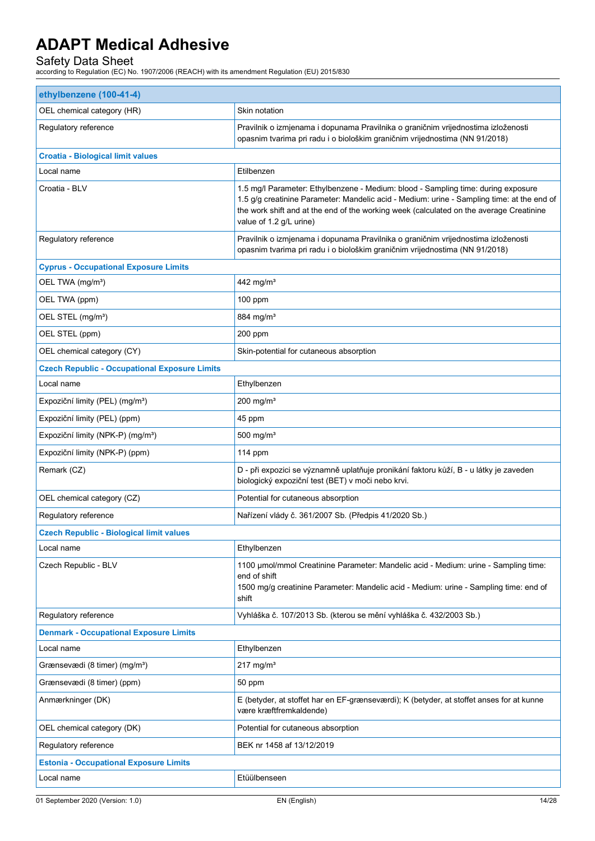| ethylbenzene (100-41-4)                              |                                                                                                                                                                                                                                                                                                       |
|------------------------------------------------------|-------------------------------------------------------------------------------------------------------------------------------------------------------------------------------------------------------------------------------------------------------------------------------------------------------|
| OEL chemical category (HR)                           | Skin notation                                                                                                                                                                                                                                                                                         |
| Regulatory reference                                 | Pravilnik o izmjenama i dopunama Pravilnika o graničnim vrijednostima izloženosti<br>opasnim tvarima pri radu i o biološkim graničnim vrijednostima (NN 91/2018)                                                                                                                                      |
| <b>Croatia - Biological limit values</b>             |                                                                                                                                                                                                                                                                                                       |
| Local name                                           | Etilbenzen                                                                                                                                                                                                                                                                                            |
| Croatia - BLV                                        | 1.5 mg/l Parameter: Ethylbenzene - Medium: blood - Sampling time: during exposure<br>1.5 g/g creatinine Parameter: Mandelic acid - Medium: urine - Sampling time: at the end of<br>the work shift and at the end of the working week (calculated on the average Creatinine<br>value of 1.2 g/L urine) |
| Regulatory reference                                 | Pravilnik o izmjenama i dopunama Pravilnika o graničnim vrijednostima izloženosti<br>opasnim tvarima pri radu i o biološkim graničnim vrijednostima (NN 91/2018)                                                                                                                                      |
| <b>Cyprus - Occupational Exposure Limits</b>         |                                                                                                                                                                                                                                                                                                       |
| OEL TWA (mg/m <sup>3</sup> )                         | 442 mg/m <sup>3</sup>                                                                                                                                                                                                                                                                                 |
| OEL TWA (ppm)                                        | 100 ppm                                                                                                                                                                                                                                                                                               |
| OEL STEL (mg/m <sup>3</sup> )                        | 884 mg/m <sup>3</sup>                                                                                                                                                                                                                                                                                 |
| OEL STEL (ppm)                                       | 200 ppm                                                                                                                                                                                                                                                                                               |
| OEL chemical category (CY)                           | Skin-potential for cutaneous absorption                                                                                                                                                                                                                                                               |
| <b>Czech Republic - Occupational Exposure Limits</b> |                                                                                                                                                                                                                                                                                                       |
| Local name                                           | Ethylbenzen                                                                                                                                                                                                                                                                                           |
| Expoziční limity (PEL) (mg/m <sup>3</sup> )          | $200$ mg/m <sup>3</sup>                                                                                                                                                                                                                                                                               |
| Expoziční limity (PEL) (ppm)                         | 45 ppm                                                                                                                                                                                                                                                                                                |
| Expoziční limity (NPK-P) (mg/m <sup>3</sup> )        | 500 mg/ $m3$                                                                                                                                                                                                                                                                                          |
| Expoziční limity (NPK-P) (ppm)                       | 114 ppm                                                                                                                                                                                                                                                                                               |
| Remark (CZ)                                          | D - při expozici se významně uplatňuje pronikání faktoru kůží, B - u látky je zaveden<br>biologický expoziční test (BET) v moči nebo krvi.                                                                                                                                                            |
| OEL chemical category (CZ)                           | Potential for cutaneous absorption                                                                                                                                                                                                                                                                    |
| Regulatory reference                                 | Nařízení vlády č. 361/2007 Sb. (Předpis 41/2020 Sb.)                                                                                                                                                                                                                                                  |
| <b>Czech Republic - Biological limit values</b>      |                                                                                                                                                                                                                                                                                                       |
| Local name                                           | Ethylbenzen                                                                                                                                                                                                                                                                                           |
| Czech Republic - BLV                                 | 1100 µmol/mmol Creatinine Parameter: Mandelic acid - Medium: urine - Sampling time:<br>end of shift<br>1500 mg/g creatinine Parameter: Mandelic acid - Medium: urine - Sampling time: end of<br>shift                                                                                                 |
| Regulatory reference                                 | Vyhláška č. 107/2013 Sb. (kterou se mění vyhláška č. 432/2003 Sb.)                                                                                                                                                                                                                                    |
| <b>Denmark - Occupational Exposure Limits</b>        |                                                                                                                                                                                                                                                                                                       |
| Local name                                           | Ethylbenzen                                                                                                                                                                                                                                                                                           |
| Grænsevædi (8 timer) (mg/m <sup>3</sup> )            | $217 \text{ mg/m}^3$                                                                                                                                                                                                                                                                                  |
| Grænsevædi (8 timer) (ppm)                           | 50 ppm                                                                                                                                                                                                                                                                                                |
| Anmærkninger (DK)                                    | E (betyder, at stoffet har en EF-grænseværdi); K (betyder, at stoffet anses for at kunne<br>være kræftfremkaldende)                                                                                                                                                                                   |
| OEL chemical category (DK)                           | Potential for cutaneous absorption                                                                                                                                                                                                                                                                    |
| Regulatory reference                                 | BEK nr 1458 af 13/12/2019                                                                                                                                                                                                                                                                             |
| <b>Estonia - Occupational Exposure Limits</b>        |                                                                                                                                                                                                                                                                                                       |
| Local name                                           | Etüülbenseen                                                                                                                                                                                                                                                                                          |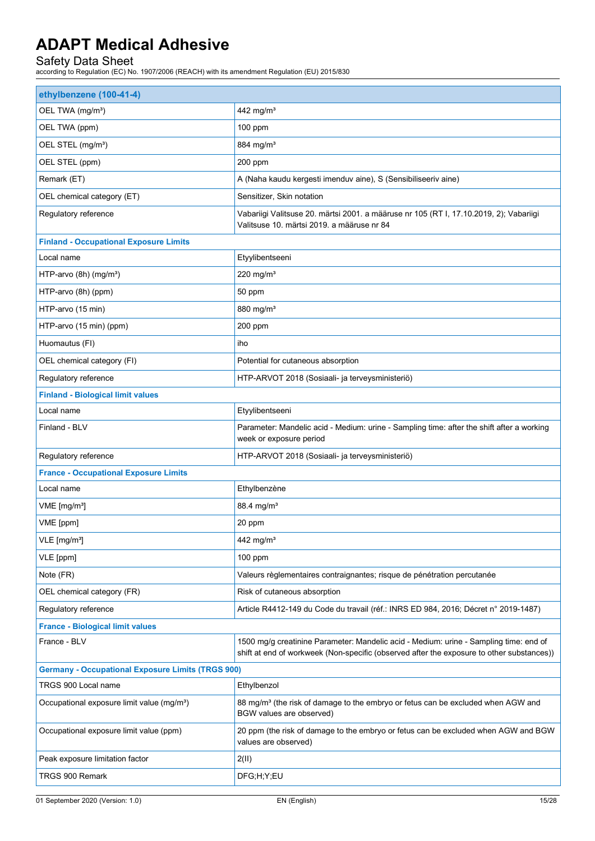| ethylbenzene (100-41-4)                                  |                                                                                                                                                                                    |  |
|----------------------------------------------------------|------------------------------------------------------------------------------------------------------------------------------------------------------------------------------------|--|
| OEL TWA (mg/m <sup>3</sup> )                             | 442 mg/m <sup>3</sup>                                                                                                                                                              |  |
| OEL TWA (ppm)                                            | $100$ ppm                                                                                                                                                                          |  |
| OEL STEL (mg/m <sup>3</sup> )                            | 884 mg/m <sup>3</sup>                                                                                                                                                              |  |
| OEL STEL (ppm)                                           | 200 ppm                                                                                                                                                                            |  |
| Remark (ET)                                              | A (Naha kaudu kergesti imenduv aine), S (Sensibiliseeriv aine)                                                                                                                     |  |
| OEL chemical category (ET)                               | Sensitizer, Skin notation                                                                                                                                                          |  |
| Regulatory reference                                     | Vabariigi Valitsuse 20. märtsi 2001. a määruse nr 105 (RT I, 17.10.2019, 2); Vabariigi<br>Valitsuse 10. märtsi 2019. a määruse nr 84                                               |  |
| <b>Finland - Occupational Exposure Limits</b>            |                                                                                                                                                                                    |  |
| Local name                                               | Etyylibentseeni                                                                                                                                                                    |  |
| HTP-arvo (8h) (mg/m <sup>3</sup> )                       | $220$ mg/m <sup>3</sup>                                                                                                                                                            |  |
| HTP-arvo (8h) (ppm)                                      | 50 ppm                                                                                                                                                                             |  |
| HTP-arvo (15 min)                                        | 880 mg/m <sup>3</sup>                                                                                                                                                              |  |
| HTP-arvo (15 min) (ppm)                                  | 200 ppm                                                                                                                                                                            |  |
| Huomautus (FI)                                           | iho                                                                                                                                                                                |  |
| OEL chemical category (FI)                               | Potential for cutaneous absorption                                                                                                                                                 |  |
| Regulatory reference                                     | HTP-ARVOT 2018 (Sosiaali- ja terveysministeriö)                                                                                                                                    |  |
| <b>Finland - Biological limit values</b>                 |                                                                                                                                                                                    |  |
| Local name                                               | Etyylibentseeni                                                                                                                                                                    |  |
| Finland - BLV                                            | Parameter: Mandelic acid - Medium: urine - Sampling time: after the shift after a working<br>week or exposure period                                                               |  |
| Regulatory reference                                     | HTP-ARVOT 2018 (Sosiaali- ja terveysministeriö)                                                                                                                                    |  |
| <b>France - Occupational Exposure Limits</b>             |                                                                                                                                                                                    |  |
| Local name                                               | Ethylbenzène                                                                                                                                                                       |  |
| VME [mg/m <sup>3</sup> ]                                 | 88.4 mg/m <sup>3</sup>                                                                                                                                                             |  |
| VME [ppm]                                                | 20 ppm                                                                                                                                                                             |  |
| VLE [mg/m <sup>3</sup> ]                                 | 442 mg/m <sup>3</sup>                                                                                                                                                              |  |
| VLE [ppm]                                                | $100$ ppm                                                                                                                                                                          |  |
| Note (FR)                                                | Valeurs règlementaires contraignantes; risque de pénétration percutanée                                                                                                            |  |
| OEL chemical category (FR)                               | Risk of cutaneous absorption                                                                                                                                                       |  |
| Regulatory reference                                     | Article R4412-149 du Code du travail (réf.: INRS ED 984, 2016; Décret n° 2019-1487)                                                                                                |  |
| <b>France - Biological limit values</b>                  |                                                                                                                                                                                    |  |
| France - BLV                                             | 1500 mg/g creatinine Parameter: Mandelic acid - Medium: urine - Sampling time: end of<br>shift at end of workweek (Non-specific (observed after the exposure to other substances)) |  |
| <b>Germany - Occupational Exposure Limits (TRGS 900)</b> |                                                                                                                                                                                    |  |
| TRGS 900 Local name                                      | Ethylbenzol                                                                                                                                                                        |  |
| Occupational exposure limit value (mg/m <sup>3</sup> )   | 88 mg/m <sup>3</sup> (the risk of damage to the embryo or fetus can be excluded when AGW and<br>BGW values are observed)                                                           |  |
| Occupational exposure limit value (ppm)                  | 20 ppm (the risk of damage to the embryo or fetus can be excluded when AGW and BGW<br>values are observed)                                                                         |  |
| Peak exposure limitation factor                          | 2(11)                                                                                                                                                                              |  |
| TRGS 900 Remark                                          | DFG;H;Y;EU                                                                                                                                                                         |  |
|                                                          |                                                                                                                                                                                    |  |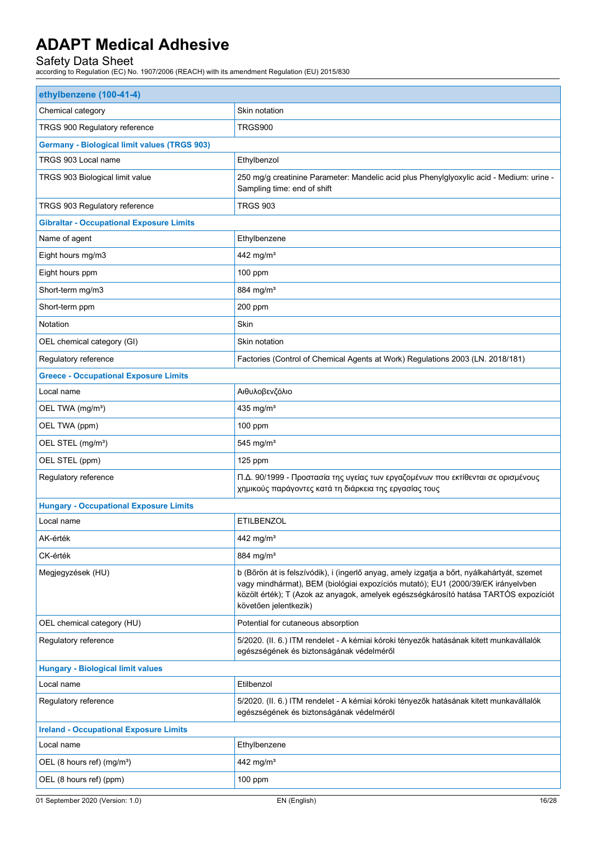| ethylbenzene (100-41-4)                             |                                                                                                                                                                                                                                                                                                 |
|-----------------------------------------------------|-------------------------------------------------------------------------------------------------------------------------------------------------------------------------------------------------------------------------------------------------------------------------------------------------|
| Chemical category                                   | Skin notation                                                                                                                                                                                                                                                                                   |
| TRGS 900 Regulatory reference                       | TRGS900                                                                                                                                                                                                                                                                                         |
| <b>Germany - Biological limit values (TRGS 903)</b> |                                                                                                                                                                                                                                                                                                 |
| TRGS 903 Local name                                 | Ethylbenzol                                                                                                                                                                                                                                                                                     |
| TRGS 903 Biological limit value                     | 250 mg/g creatinine Parameter: Mandelic acid plus Phenylglyoxylic acid - Medium: urine -<br>Sampling time: end of shift                                                                                                                                                                         |
| TRGS 903 Regulatory reference                       | <b>TRGS 903</b>                                                                                                                                                                                                                                                                                 |
| <b>Gibraltar - Occupational Exposure Limits</b>     |                                                                                                                                                                                                                                                                                                 |
| Name of agent                                       | Ethylbenzene                                                                                                                                                                                                                                                                                    |
| Eight hours mg/m3                                   | 442 mg/m <sup>3</sup>                                                                                                                                                                                                                                                                           |
| Eight hours ppm                                     | 100 ppm                                                                                                                                                                                                                                                                                         |
| Short-term mg/m3                                    | 884 mg/m <sup>3</sup>                                                                                                                                                                                                                                                                           |
| Short-term ppm                                      | 200 ppm                                                                                                                                                                                                                                                                                         |
| Notation                                            | Skin                                                                                                                                                                                                                                                                                            |
| OEL chemical category (GI)                          | Skin notation                                                                                                                                                                                                                                                                                   |
| Regulatory reference                                | Factories (Control of Chemical Agents at Work) Regulations 2003 (LN. 2018/181)                                                                                                                                                                                                                  |
| <b>Greece - Occupational Exposure Limits</b>        |                                                                                                                                                                                                                                                                                                 |
| Local name                                          | Αιθυλοβενζόλιο                                                                                                                                                                                                                                                                                  |
| OEL TWA (mg/m <sup>3</sup> )                        | 435 mg/m <sup>3</sup>                                                                                                                                                                                                                                                                           |
| OEL TWA (ppm)                                       | $100$ ppm                                                                                                                                                                                                                                                                                       |
| OEL STEL (mg/m <sup>3</sup> )                       | 545 mg/ $m3$                                                                                                                                                                                                                                                                                    |
| OEL STEL (ppm)                                      | 125 ppm                                                                                                                                                                                                                                                                                         |
| Regulatory reference                                | Π.Δ. 90/1999 - Προστασία της υγείας των εργαζομένων που εκτίθενται σε ορισμένους<br>χημικούς παράγοντες κατά τη διάρκεια της εργασίας τους                                                                                                                                                      |
| <b>Hungary - Occupational Exposure Limits</b>       |                                                                                                                                                                                                                                                                                                 |
| Local name                                          | <b>ETILBENZOL</b>                                                                                                                                                                                                                                                                               |
| AK-érték                                            | 442 mg/m <sup>3</sup>                                                                                                                                                                                                                                                                           |
| CK-érték                                            | 884 mg/m <sup>3</sup>                                                                                                                                                                                                                                                                           |
| Megjegyzések (HU)                                   | b (Bőrön át is felszívódik), i (ingerlő anyag, amely izgatja a bőrt, nyálkahártyát, szemet<br>vagy mindhármat), BEM (biológiai expozíciós mutató); EU1 (2000/39/EK irányelvben<br>közölt érték); T (Azok az anyagok, amelyek egészségkárosító hatása TARTÓS expozíciót<br>követően jelentkezik) |
| OEL chemical category (HU)                          | Potential for cutaneous absorption                                                                                                                                                                                                                                                              |
| Regulatory reference                                | 5/2020. (II. 6.) ITM rendelet - A kémiai kóroki tényezők hatásának kitett munkavállalók<br>egészségének és biztonságának védelméről                                                                                                                                                             |
| <b>Hungary - Biological limit values</b>            |                                                                                                                                                                                                                                                                                                 |
| Local name                                          | Etilbenzol                                                                                                                                                                                                                                                                                      |
| Regulatory reference                                | 5/2020. (II. 6.) ITM rendelet - A kémiai kóroki tényezők hatásának kitett munkavállalók<br>egészségének és biztonságának védelméről                                                                                                                                                             |
| <b>Ireland - Occupational Exposure Limits</b>       |                                                                                                                                                                                                                                                                                                 |
| Local name                                          | Ethylbenzene                                                                                                                                                                                                                                                                                    |
| OEL (8 hours ref) (mg/m <sup>3</sup> )              | 442 mg/m <sup>3</sup>                                                                                                                                                                                                                                                                           |
| OEL (8 hours ref) (ppm)                             | 100 ppm                                                                                                                                                                                                                                                                                         |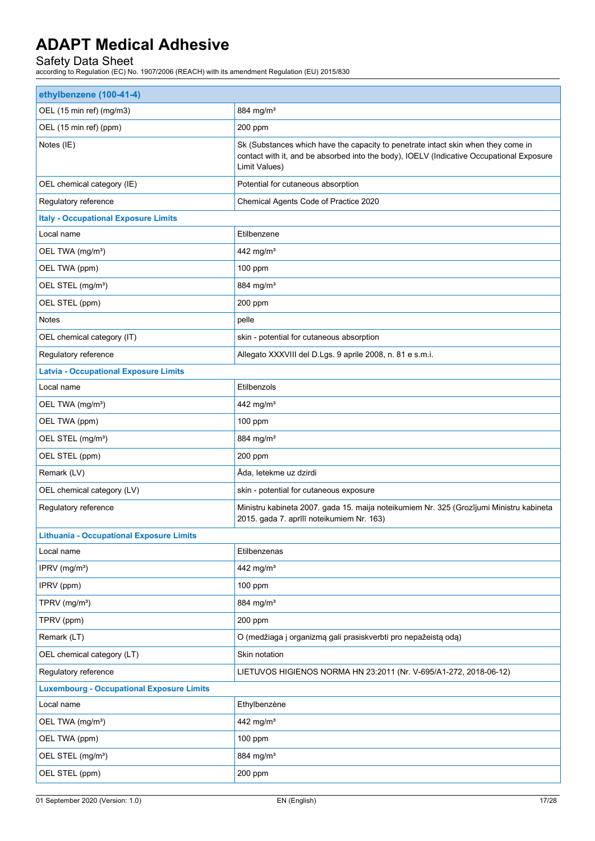| ethylbenzene (100-41-4)                          |                                                                                                                                                                                                |
|--------------------------------------------------|------------------------------------------------------------------------------------------------------------------------------------------------------------------------------------------------|
| OEL (15 min ref) (mg/m3)                         | 884 mg/m <sup>3</sup>                                                                                                                                                                          |
| OEL (15 min ref) (ppm)                           | 200 ppm                                                                                                                                                                                        |
| Notes (IE)                                       | Sk (Substances which have the capacity to penetrate intact skin when they come in<br>contact with it, and be absorbed into the body), IOELV (Indicative Occupational Exposure<br>Limit Values) |
| OEL chemical category (IE)                       | Potential for cutaneous absorption                                                                                                                                                             |
| Regulatory reference                             | Chemical Agents Code of Practice 2020                                                                                                                                                          |
| <b>Italy - Occupational Exposure Limits</b>      |                                                                                                                                                                                                |
| Local name                                       | Etilbenzene                                                                                                                                                                                    |
| OEL TWA (mg/m <sup>3</sup> )                     | 442 mg/m <sup>3</sup>                                                                                                                                                                          |
| OEL TWA (ppm)                                    | 100 ppm                                                                                                                                                                                        |
| OEL STEL (mg/m <sup>3</sup> )                    | 884 mg/m <sup>3</sup>                                                                                                                                                                          |
| OEL STEL (ppm)                                   | 200 ppm                                                                                                                                                                                        |
| <b>Notes</b>                                     | pelle                                                                                                                                                                                          |
| OEL chemical category (IT)                       | skin - potential for cutaneous absorption                                                                                                                                                      |
| Regulatory reference                             | Allegato XXXVIII del D.Lgs. 9 aprile 2008, n. 81 e s.m.i.                                                                                                                                      |
| <b>Latvia - Occupational Exposure Limits</b>     |                                                                                                                                                                                                |
| Local name                                       | Etilbenzols                                                                                                                                                                                    |
| OEL TWA (mg/m <sup>3</sup> )                     | 442 mg/m <sup>3</sup>                                                                                                                                                                          |
| OEL TWA (ppm)                                    | 100 ppm                                                                                                                                                                                        |
| OEL STEL (mg/m <sup>3</sup> )                    | 884 mg/m <sup>3</sup>                                                                                                                                                                          |
| OEL STEL (ppm)                                   | 200 ppm                                                                                                                                                                                        |
| Remark (LV)                                      | Āda, letekme uz dzirdi                                                                                                                                                                         |
| OEL chemical category (LV)                       | skin - potential for cutaneous exposure                                                                                                                                                        |
| Regulatory reference                             | Ministru kabineta 2007. gada 15. maija noteikumiem Nr. 325 (Grozījumi Ministru kabineta<br>2015. gada 7. aprīlī noteikumiem Nr. 163)                                                           |
| <b>Lithuania - Occupational Exposure Limits</b>  |                                                                                                                                                                                                |
| Local name                                       | Etilbenzenas                                                                                                                                                                                   |
| IPRV (mg/m <sup>3</sup> )                        | 442 mg/m <sup>3</sup>                                                                                                                                                                          |
| IPRV (ppm)                                       | $100$ ppm                                                                                                                                                                                      |
| TPRV (mg/m <sup>3</sup> )                        | 884 mg/m <sup>3</sup>                                                                                                                                                                          |
| TPRV (ppm)                                       | 200 ppm                                                                                                                                                                                        |
| Remark (LT)                                      | O (medžiaga į organizmą gali prasiskverbti pro nepažeistą odą)                                                                                                                                 |
| OEL chemical category (LT)                       | Skin notation                                                                                                                                                                                  |
| Regulatory reference                             | LIETUVOS HIGIENOS NORMA HN 23:2011 (Nr. V-695/A1-272, 2018-06-12)                                                                                                                              |
| <b>Luxembourg - Occupational Exposure Limits</b> |                                                                                                                                                                                                |
| Local name                                       | Ethylbenzène                                                                                                                                                                                   |
| OEL TWA (mg/m <sup>3</sup> )                     | 442 mg/m <sup>3</sup>                                                                                                                                                                          |
| OEL TWA (ppm)                                    | 100 ppm                                                                                                                                                                                        |
| OEL STEL (mg/m <sup>3</sup> )                    | 884 mg/m <sup>3</sup>                                                                                                                                                                          |
| OEL STEL (ppm)                                   | 200 ppm                                                                                                                                                                                        |
|                                                  |                                                                                                                                                                                                |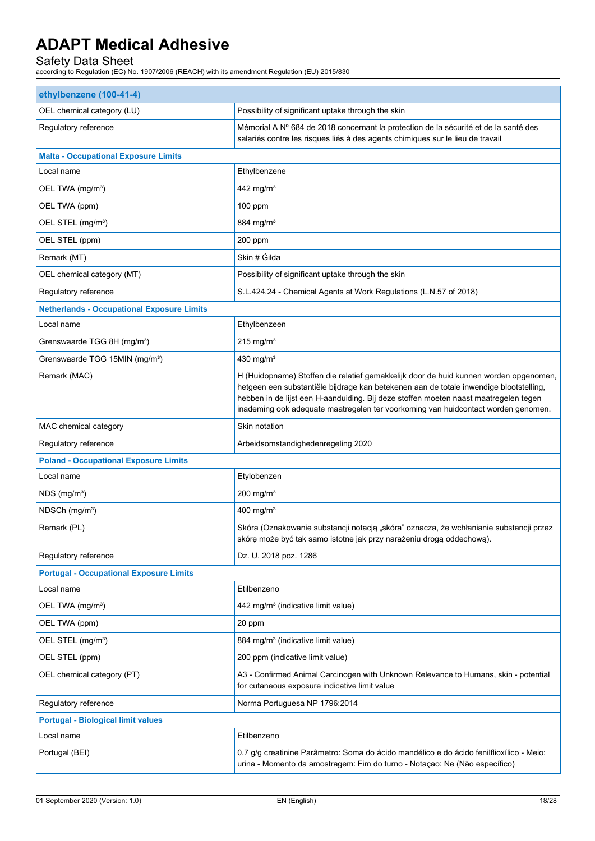| ethylbenzene (100-41-4)                           |                                                                                                                                                                                                                                                                                                                                                              |  |
|---------------------------------------------------|--------------------------------------------------------------------------------------------------------------------------------------------------------------------------------------------------------------------------------------------------------------------------------------------------------------------------------------------------------------|--|
| OEL chemical category (LU)                        | Possibility of significant uptake through the skin                                                                                                                                                                                                                                                                                                           |  |
| Regulatory reference                              | Mémorial A Nº 684 de 2018 concernant la protection de la sécurité et de la santé des<br>salariés contre les risques liés à des agents chimiques sur le lieu de travail                                                                                                                                                                                       |  |
| <b>Malta - Occupational Exposure Limits</b>       |                                                                                                                                                                                                                                                                                                                                                              |  |
| Local name                                        | Ethylbenzene                                                                                                                                                                                                                                                                                                                                                 |  |
| OEL TWA (mg/m <sup>3</sup> )                      | 442 mg/m <sup>3</sup>                                                                                                                                                                                                                                                                                                                                        |  |
| OEL TWA (ppm)                                     | 100 ppm                                                                                                                                                                                                                                                                                                                                                      |  |
| OEL STEL (mg/m <sup>3</sup> )                     | 884 mg/m <sup>3</sup>                                                                                                                                                                                                                                                                                                                                        |  |
| OEL STEL (ppm)                                    | 200 ppm                                                                                                                                                                                                                                                                                                                                                      |  |
| Remark (MT)                                       | Skin # Gilda                                                                                                                                                                                                                                                                                                                                                 |  |
| OEL chemical category (MT)                        | Possibility of significant uptake through the skin                                                                                                                                                                                                                                                                                                           |  |
| Regulatory reference                              | S.L.424.24 - Chemical Agents at Work Regulations (L.N.57 of 2018)                                                                                                                                                                                                                                                                                            |  |
| <b>Netherlands - Occupational Exposure Limits</b> |                                                                                                                                                                                                                                                                                                                                                              |  |
| Local name                                        | Ethylbenzeen                                                                                                                                                                                                                                                                                                                                                 |  |
| Grenswaarde TGG 8H (mg/m <sup>3</sup> )           | $215$ mg/m <sup>3</sup>                                                                                                                                                                                                                                                                                                                                      |  |
| Grenswaarde TGG 15MIN (mg/m <sup>3</sup> )        | 430 mg/m <sup>3</sup>                                                                                                                                                                                                                                                                                                                                        |  |
| Remark (MAC)                                      | H (Huidopname) Stoffen die relatief gemakkelijk door de huid kunnen worden opgenomen,<br>hetgeen een substantiële bijdrage kan betekenen aan de totale inwendige blootstelling,<br>hebben in de lijst een H-aanduiding. Bij deze stoffen moeten naast maatregelen tegen<br>inademing ook adequate maatregelen ter voorkoming van huidcontact worden genomen. |  |
| MAC chemical category                             | Skin notation                                                                                                                                                                                                                                                                                                                                                |  |
| Regulatory reference                              | Arbeidsomstandighedenregeling 2020                                                                                                                                                                                                                                                                                                                           |  |
| <b>Poland - Occupational Exposure Limits</b>      |                                                                                                                                                                                                                                                                                                                                                              |  |
| Local name                                        | Etylobenzen                                                                                                                                                                                                                                                                                                                                                  |  |
| $NDS$ (mg/m <sup>3</sup> )                        | $200$ mg/m <sup>3</sup>                                                                                                                                                                                                                                                                                                                                      |  |
| NDSCh (mg/m <sup>3</sup> )                        | 400 mg/m <sup>3</sup>                                                                                                                                                                                                                                                                                                                                        |  |
| Remark (PL)                                       | Skóra (Oznakowanie substancji notacją "skóra" oznacza, że wchłanianie substancji przez<br>skórę może być tak samo istotne jak przy narażeniu drogą oddechową).                                                                                                                                                                                               |  |
| Regulatory reference                              | Dz. U. 2018 poz. 1286                                                                                                                                                                                                                                                                                                                                        |  |
| <b>Portugal - Occupational Exposure Limits</b>    |                                                                                                                                                                                                                                                                                                                                                              |  |
| Local name                                        | Etilbenzeno                                                                                                                                                                                                                                                                                                                                                  |  |
| OEL TWA (mg/m <sup>3</sup> )                      | 442 mg/m <sup>3</sup> (indicative limit value)                                                                                                                                                                                                                                                                                                               |  |
| OEL TWA (ppm)                                     | 20 ppm                                                                                                                                                                                                                                                                                                                                                       |  |
| OEL STEL (mg/m <sup>3</sup> )                     | 884 mg/m <sup>3</sup> (indicative limit value)                                                                                                                                                                                                                                                                                                               |  |
| OEL STEL (ppm)                                    | 200 ppm (indicative limit value)                                                                                                                                                                                                                                                                                                                             |  |
| OEL chemical category (PT)                        | A3 - Confirmed Animal Carcinogen with Unknown Relevance to Humans, skin - potential<br>for cutaneous exposure indicative limit value                                                                                                                                                                                                                         |  |
| Regulatory reference                              | Norma Portuguesa NP 1796:2014                                                                                                                                                                                                                                                                                                                                |  |
| <b>Portugal - Biological limit values</b>         |                                                                                                                                                                                                                                                                                                                                                              |  |
| Local name                                        | Etilbenzeno                                                                                                                                                                                                                                                                                                                                                  |  |
| Portugal (BEI)                                    | 0.7 g/g creatinine Parâmetro: Soma do ácido mandélico e do ácido fenilflioxílico - Meio:<br>urina - Momento da amostragem: Fim do turno - Notaçao: Ne (Não específico)                                                                                                                                                                                       |  |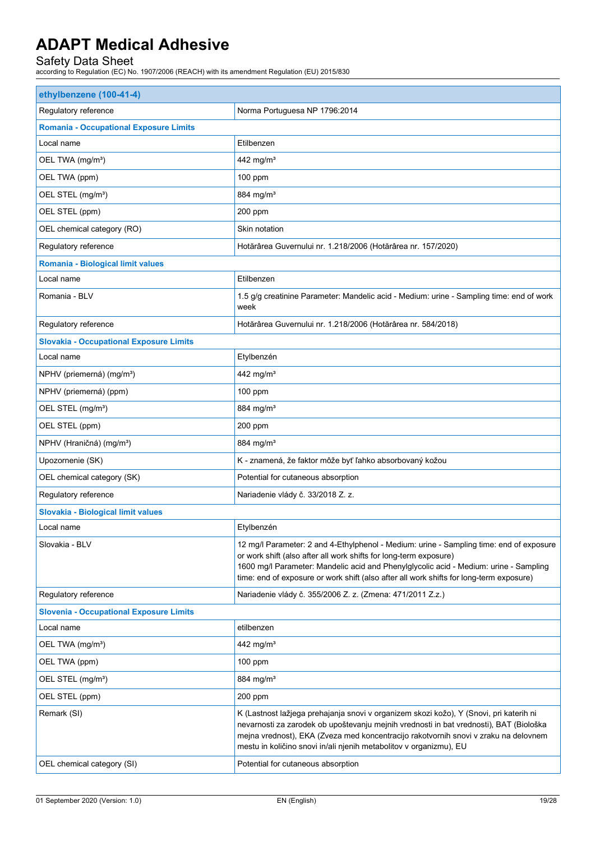| ethylbenzene (100-41-4)                               |                                                                                                                                                                                                                                                                                                                                                  |  |
|-------------------------------------------------------|--------------------------------------------------------------------------------------------------------------------------------------------------------------------------------------------------------------------------------------------------------------------------------------------------------------------------------------------------|--|
| Regulatory reference<br>Norma Portuguesa NP 1796:2014 |                                                                                                                                                                                                                                                                                                                                                  |  |
| <b>Romania - Occupational Exposure Limits</b>         |                                                                                                                                                                                                                                                                                                                                                  |  |
| Local name                                            | Etilbenzen                                                                                                                                                                                                                                                                                                                                       |  |
| OEL TWA (mg/m <sup>3</sup> )                          | 442 mg/m <sup>3</sup>                                                                                                                                                                                                                                                                                                                            |  |
| OEL TWA (ppm)                                         | 100 ppm                                                                                                                                                                                                                                                                                                                                          |  |
| OEL STEL (mg/m <sup>3</sup> )                         | 884 mg/m <sup>3</sup>                                                                                                                                                                                                                                                                                                                            |  |
| OEL STEL (ppm)                                        | 200 ppm                                                                                                                                                                                                                                                                                                                                          |  |
| OEL chemical category (RO)                            | Skin notation                                                                                                                                                                                                                                                                                                                                    |  |
| Regulatory reference                                  | Hotărârea Guvernului nr. 1.218/2006 (Hotărârea nr. 157/2020)                                                                                                                                                                                                                                                                                     |  |
| Romania - Biological limit values                     |                                                                                                                                                                                                                                                                                                                                                  |  |
| Local name                                            | Etilbenzen                                                                                                                                                                                                                                                                                                                                       |  |
| Romania - BLV                                         | 1.5 g/g creatinine Parameter: Mandelic acid - Medium: urine - Sampling time: end of work<br>week                                                                                                                                                                                                                                                 |  |
| Regulatory reference                                  | Hotărârea Guvernului nr. 1.218/2006 (Hotărârea nr. 584/2018)                                                                                                                                                                                                                                                                                     |  |
| <b>Slovakia - Occupational Exposure Limits</b>        |                                                                                                                                                                                                                                                                                                                                                  |  |
| Local name                                            | Etylbenzén                                                                                                                                                                                                                                                                                                                                       |  |
| NPHV (priemerná) (mg/m <sup>3</sup> )                 | 442 mg/m <sup>3</sup>                                                                                                                                                                                                                                                                                                                            |  |
| NPHV (priemerná) (ppm)                                | 100 ppm                                                                                                                                                                                                                                                                                                                                          |  |
| OEL STEL (mg/m <sup>3</sup> )                         | 884 mg/m <sup>3</sup>                                                                                                                                                                                                                                                                                                                            |  |
| OEL STEL (ppm)                                        | 200 ppm                                                                                                                                                                                                                                                                                                                                          |  |
| NPHV (Hraničná) (mg/m <sup>3</sup> )                  | 884 mg/m <sup>3</sup>                                                                                                                                                                                                                                                                                                                            |  |
| Upozornenie (SK)                                      | K - znamená, že faktor môže byť ľahko absorbovaný kožou                                                                                                                                                                                                                                                                                          |  |
| OEL chemical category (SK)                            | Potential for cutaneous absorption                                                                                                                                                                                                                                                                                                               |  |
| Regulatory reference                                  | Nariadenie vlády č. 33/2018 Z. z.                                                                                                                                                                                                                                                                                                                |  |
| Slovakia - Biological limit values                    |                                                                                                                                                                                                                                                                                                                                                  |  |
| Local name                                            | Etylbenzén                                                                                                                                                                                                                                                                                                                                       |  |
| Slovakia - BLV                                        | 12 mg/l Parameter: 2 and 4-Ethylphenol - Medium: urine - Sampling time: end of exposure<br>or work shift (also after all work shifts for long-term exposure)<br>1600 mg/l Parameter: Mandelic acid and Phenylglycolic acid - Medium: urine - Sampling<br>time: end of exposure or work shift (also after all work shifts for long-term exposure) |  |
| Regulatory reference                                  | Nariadenie vlády č. 355/2006 Z. z. (Zmena: 471/2011 Z.z.)                                                                                                                                                                                                                                                                                        |  |
| <b>Slovenia - Occupational Exposure Limits</b>        |                                                                                                                                                                                                                                                                                                                                                  |  |
| Local name                                            | etilbenzen                                                                                                                                                                                                                                                                                                                                       |  |
| OEL TWA (mg/m <sup>3</sup> )                          | 442 mg/m <sup>3</sup>                                                                                                                                                                                                                                                                                                                            |  |
| OEL TWA (ppm)                                         | $100$ ppm                                                                                                                                                                                                                                                                                                                                        |  |
| OEL STEL (mg/m <sup>3</sup> )                         | 884 mg/m <sup>3</sup>                                                                                                                                                                                                                                                                                                                            |  |
| OEL STEL (ppm)                                        | 200 ppm                                                                                                                                                                                                                                                                                                                                          |  |
| Remark (SI)                                           | K (Lastnost lažjega prehajanja snovi v organizem skozi kožo), Y (Snovi, pri katerih ni<br>nevarnosti za zarodek ob upoštevanju mejnih vrednosti in bat vrednosti), BAT (Biološka<br>mejna vrednost), EKA (Zveza med koncentracijo rakotvornih snovi v zraku na delovnem<br>mestu in količino snovi in/ali njenih metabolitov v organizmu), EU    |  |
| OEL chemical category (SI)                            | Potential for cutaneous absorption                                                                                                                                                                                                                                                                                                               |  |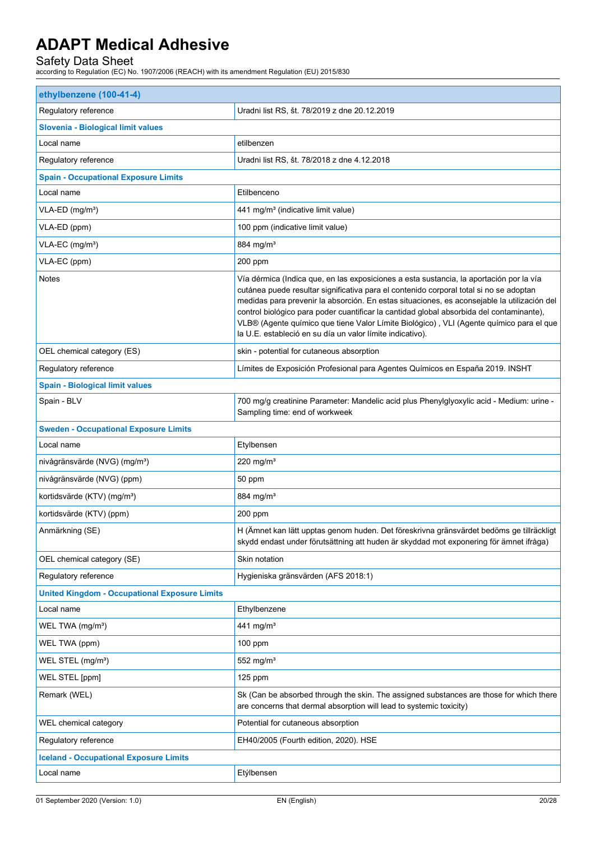| ethylbenzene (100-41-4)                              |                                                                                                                                                                                                                                                                                                                                                                                                                                                                                                                                      |  |  |
|------------------------------------------------------|--------------------------------------------------------------------------------------------------------------------------------------------------------------------------------------------------------------------------------------------------------------------------------------------------------------------------------------------------------------------------------------------------------------------------------------------------------------------------------------------------------------------------------------|--|--|
| Regulatory reference                                 | Uradni list RS, št. 78/2019 z dne 20.12.2019                                                                                                                                                                                                                                                                                                                                                                                                                                                                                         |  |  |
| Slovenia - Biological limit values                   |                                                                                                                                                                                                                                                                                                                                                                                                                                                                                                                                      |  |  |
| Local name                                           | etilbenzen                                                                                                                                                                                                                                                                                                                                                                                                                                                                                                                           |  |  |
| Regulatory reference                                 | Uradni list RS, št. 78/2018 z dne 4.12.2018                                                                                                                                                                                                                                                                                                                                                                                                                                                                                          |  |  |
| <b>Spain - Occupational Exposure Limits</b>          |                                                                                                                                                                                                                                                                                                                                                                                                                                                                                                                                      |  |  |
| Local name                                           | Etilbenceno                                                                                                                                                                                                                                                                                                                                                                                                                                                                                                                          |  |  |
| VLA-ED (mg/m <sup>3</sup> )                          | 441 mg/m <sup>3</sup> (indicative limit value)                                                                                                                                                                                                                                                                                                                                                                                                                                                                                       |  |  |
| VLA-ED (ppm)                                         | 100 ppm (indicative limit value)                                                                                                                                                                                                                                                                                                                                                                                                                                                                                                     |  |  |
| VLA-EC (mg/m <sup>3</sup> )                          | 884 mg/m <sup>3</sup>                                                                                                                                                                                                                                                                                                                                                                                                                                                                                                                |  |  |
| VLA-EC (ppm)                                         | $200$ ppm                                                                                                                                                                                                                                                                                                                                                                                                                                                                                                                            |  |  |
| <b>Notes</b>                                         | Vía dérmica (Indica que, en las exposiciones a esta sustancia, la aportación por la vía<br>cutánea puede resultar significativa para el contenido corporal total si no se adoptan<br>medidas para prevenir la absorción. En estas situaciones, es aconsejable la utilización del<br>control biológico para poder cuantificar la cantidad global absorbida del contaminante),<br>VLB® (Agente químico que tiene Valor Límite Biológico), VLI (Agente químico para el que<br>la U.E. estableció en su día un valor límite indicativo). |  |  |
| OEL chemical category (ES)                           | skin - potential for cutaneous absorption                                                                                                                                                                                                                                                                                                                                                                                                                                                                                            |  |  |
| Regulatory reference                                 | Límites de Exposición Profesional para Agentes Químicos en España 2019. INSHT                                                                                                                                                                                                                                                                                                                                                                                                                                                        |  |  |
| <b>Spain - Biological limit values</b>               |                                                                                                                                                                                                                                                                                                                                                                                                                                                                                                                                      |  |  |
| Spain - BLV                                          | 700 mg/g creatinine Parameter: Mandelic acid plus Phenylglyoxylic acid - Medium: urine -<br>Sampling time: end of workweek                                                                                                                                                                                                                                                                                                                                                                                                           |  |  |
| <b>Sweden - Occupational Exposure Limits</b>         |                                                                                                                                                                                                                                                                                                                                                                                                                                                                                                                                      |  |  |
| Local name                                           | Etylbensen                                                                                                                                                                                                                                                                                                                                                                                                                                                                                                                           |  |  |
| nivågränsvärde (NVG) (mg/m <sup>3</sup> )            | 220 mg/m <sup>3</sup>                                                                                                                                                                                                                                                                                                                                                                                                                                                                                                                |  |  |
| nivågränsvärde (NVG) (ppm)                           | 50 ppm                                                                                                                                                                                                                                                                                                                                                                                                                                                                                                                               |  |  |
| kortidsvärde (KTV) (mg/m <sup>3</sup> )              | 884 mg/m <sup>3</sup>                                                                                                                                                                                                                                                                                                                                                                                                                                                                                                                |  |  |
| kortidsvärde (KTV) (ppm)                             | $200$ ppm                                                                                                                                                                                                                                                                                                                                                                                                                                                                                                                            |  |  |
| Anmärkning (SE)                                      | H (Ämnet kan lätt upptas genom huden. Det föreskrivna gränsvärdet bedöms ge tillräckligt<br>skydd endast under förutsättning att huden är skyddad mot exponering för ämnet ifråga)                                                                                                                                                                                                                                                                                                                                                   |  |  |
| OEL chemical category (SE)                           | Skin notation                                                                                                                                                                                                                                                                                                                                                                                                                                                                                                                        |  |  |
| Regulatory reference                                 | Hygieniska gränsvärden (AFS 2018:1)                                                                                                                                                                                                                                                                                                                                                                                                                                                                                                  |  |  |
| <b>United Kingdom - Occupational Exposure Limits</b> |                                                                                                                                                                                                                                                                                                                                                                                                                                                                                                                                      |  |  |
| Local name                                           | Ethylbenzene                                                                                                                                                                                                                                                                                                                                                                                                                                                                                                                         |  |  |
| WEL TWA (mg/m <sup>3</sup> )                         | 441 mg/m <sup>3</sup>                                                                                                                                                                                                                                                                                                                                                                                                                                                                                                                |  |  |
| WEL TWA (ppm)                                        | $100$ ppm                                                                                                                                                                                                                                                                                                                                                                                                                                                                                                                            |  |  |
| WEL STEL (mg/m <sup>3</sup> )                        | 552 mg/m <sup>3</sup>                                                                                                                                                                                                                                                                                                                                                                                                                                                                                                                |  |  |
| WEL STEL [ppm]                                       | 125 ppm                                                                                                                                                                                                                                                                                                                                                                                                                                                                                                                              |  |  |
| Remark (WEL)                                         | Sk (Can be absorbed through the skin. The assigned substances are those for which there<br>are concerns that dermal absorption will lead to systemic toxicity)                                                                                                                                                                                                                                                                                                                                                                       |  |  |
| WEL chemical category                                | Potential for cutaneous absorption                                                                                                                                                                                                                                                                                                                                                                                                                                                                                                   |  |  |
| Regulatory reference                                 | EH40/2005 (Fourth edition, 2020). HSE                                                                                                                                                                                                                                                                                                                                                                                                                                                                                                |  |  |
| <b>Iceland - Occupational Exposure Limits</b>        |                                                                                                                                                                                                                                                                                                                                                                                                                                                                                                                                      |  |  |
| Local name                                           | Etýlbensen                                                                                                                                                                                                                                                                                                                                                                                                                                                                                                                           |  |  |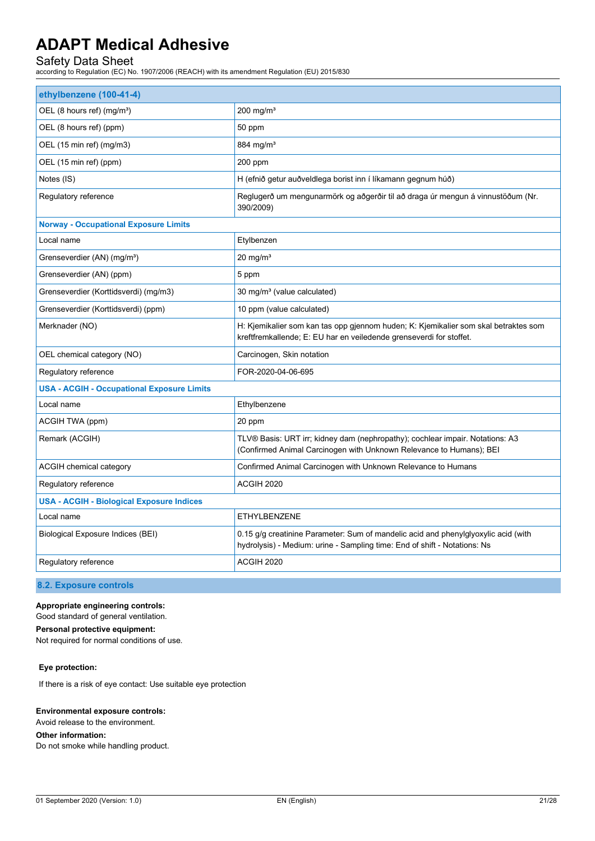Safety Data Sheet according to Regulation (EC) No. 1907/2006 (REACH) with its amendment Regulation (EU) 2015/830

| ethylbenzene (100-41-4)                           |                                                                                                                                                                 |  |
|---------------------------------------------------|-----------------------------------------------------------------------------------------------------------------------------------------------------------------|--|
| OEL (8 hours ref) (mg/m <sup>3</sup> )            | $200$ mg/m <sup>3</sup>                                                                                                                                         |  |
| OEL (8 hours ref) (ppm)                           | 50 ppm                                                                                                                                                          |  |
| OEL (15 min ref) (mg/m3)                          | 884 mg/ $m3$                                                                                                                                                    |  |
| OEL (15 min ref) (ppm)                            | 200 ppm                                                                                                                                                         |  |
| Notes (IS)                                        | H (efnið getur auðveldlega borist inn í líkamann gegnum húð)                                                                                                    |  |
| Regulatory reference                              | Reglugerð um mengunarmörk og aðgerðir til að draga úr mengun á vinnustöðum (Nr.<br>390/2009)                                                                    |  |
| <b>Norway - Occupational Exposure Limits</b>      |                                                                                                                                                                 |  |
| Local name                                        | Etylbenzen                                                                                                                                                      |  |
| Grenseverdier (AN) (mg/m <sup>3</sup> )           | $20 \text{ mg/m}^3$                                                                                                                                             |  |
| Grenseverdier (AN) (ppm)                          | 5 ppm                                                                                                                                                           |  |
| Grenseverdier (Korttidsverdi) (mg/m3)             | 30 mg/m <sup>3</sup> (value calculated)                                                                                                                         |  |
| Grenseverdier (Korttidsverdi) (ppm)               | 10 ppm (value calculated)                                                                                                                                       |  |
| Merknader (NO)                                    | H: Kjemikalier som kan tas opp gjennom huden; K: Kjemikalier som skal betraktes som<br>kreftfremkallende; E: EU har en veiledende grenseverdi for stoffet.      |  |
| OEL chemical category (NO)                        | Carcinogen, Skin notation                                                                                                                                       |  |
| Regulatory reference                              | FOR-2020-04-06-695                                                                                                                                              |  |
| <b>USA - ACGIH - Occupational Exposure Limits</b> |                                                                                                                                                                 |  |
| Local name                                        | Ethylbenzene                                                                                                                                                    |  |
| ACGIH TWA (ppm)                                   | 20 ppm                                                                                                                                                          |  |
| Remark (ACGIH)                                    | TLV® Basis: URT irr; kidney dam (nephropathy); cochlear impair. Notations: A3<br>(Confirmed Animal Carcinogen with Unknown Relevance to Humans); BEI            |  |
| ACGIH chemical category                           | Confirmed Animal Carcinogen with Unknown Relevance to Humans                                                                                                    |  |
| Regulatory reference                              | ACGIH 2020                                                                                                                                                      |  |
| <b>USA - ACGIH - Biological Exposure Indices</b>  |                                                                                                                                                                 |  |
| Local name                                        | <b>ETHYLBENZENE</b>                                                                                                                                             |  |
| <b>Biological Exposure Indices (BEI)</b>          | 0.15 g/g creatinine Parameter: Sum of mandelic acid and phenylglyoxylic acid (with<br>hydrolysis) - Medium: urine - Sampling time: End of shift - Notations: Ns |  |
| Regulatory reference                              | ACGIH 2020                                                                                                                                                      |  |

**8.2. Exposure controls**

### **Appropriate engineering controls:**

Good standard of general ventilation.

## **Personal protective equipment:**

Not required for normal conditions of use.

## **Eye protection:**

If there is a risk of eye contact: Use suitable eye protection

### **Environmental exposure controls:**

Avoid release to the environment.

## **Other information:**

Do not smoke while handling product.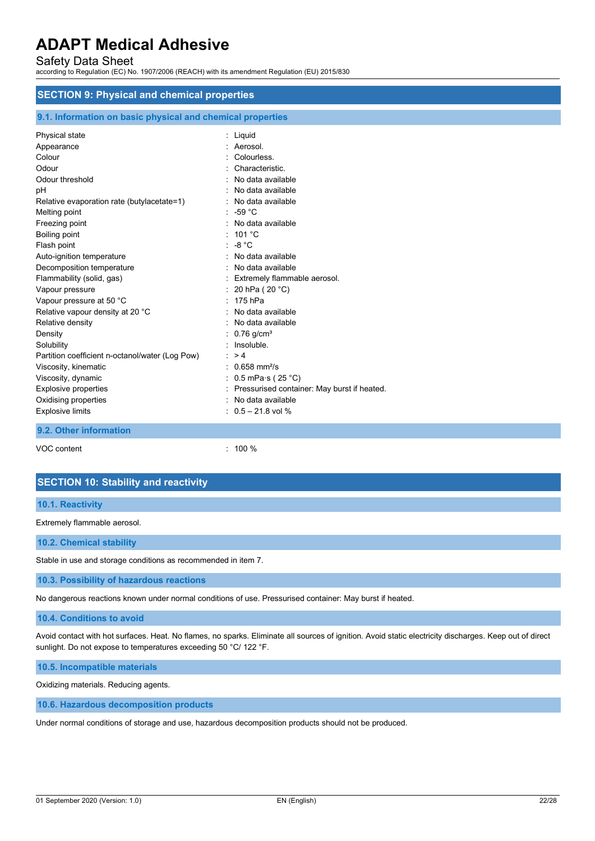Safety Data Sheet

according to Regulation (EC) No. 1907/2006 (REACH) with its amendment Regulation (EU) 2015/830

## **SECTION 9: Physical and chemical properties**

|  | 9.1. Information on basic physical and chemical properties |  |  |  |  |  |  |
|--|------------------------------------------------------------|--|--|--|--|--|--|
|--|------------------------------------------------------------|--|--|--|--|--|--|

| Physical state                                  | $:$ Liquid                                  |
|-------------------------------------------------|---------------------------------------------|
| Appearance                                      | Aerosol.                                    |
| Colour                                          | Colourless.                                 |
| Odour                                           | Characteristic.                             |
| Odour threshold                                 | No data available                           |
| рH                                              | No data available                           |
| Relative evaporation rate (butylacetate=1)      | No data available                           |
| Melting point                                   | $: -59 °C$                                  |
| Freezing point                                  | No data available                           |
| Boiling point                                   | 101 °C                                      |
| Flash point                                     | $\therefore$ -8 °C                          |
| Auto-ignition temperature                       | No data available                           |
| Decomposition temperature                       | No data available                           |
| Flammability (solid, gas)                       | Extremely flammable aerosol.                |
| Vapour pressure                                 | : 20 hPa ( 20 °C)                           |
| Vapour pressure at 50 °C                        | 175 hPa                                     |
| Relative vapour density at 20 °C                | No data available                           |
| Relative density                                | No data available                           |
| Density                                         | $0.76$ g/cm <sup>3</sup>                    |
| Solubility                                      | Insoluble.                                  |
| Partition coefficient n-octanol/water (Log Pow) | $\therefore$ > 4                            |
| Viscosity, kinematic                            | $: 0.658$ mm <sup>2</sup> /s                |
| Viscosity, dynamic                              | : $0.5$ mPa $\cdot$ s (25 $\degree$ C)      |
| <b>Explosive properties</b>                     | Pressurised container: May burst if heated. |
| Oxidising properties                            | No data available                           |
| Explosive limits                                | $: 0.5 - 21.8$ vol %                        |
| 9.2. Other information                          |                                             |

VOC content : 100 %

# **SECTION 10: Stability and reactivity**

## **10.1. Reactivity**

Extremely flammable aerosol.

## **10.2. Chemical stability**

Stable in use and storage conditions as recommended in item 7.

### **10.3. Possibility of hazardous reactions**

No dangerous reactions known under normal conditions of use. Pressurised container: May burst if heated.

### **10.4. Conditions to avoid**

Avoid contact with hot surfaces. Heat. No flames, no sparks. Eliminate all sources of ignition. Avoid static electricity discharges. Keep out of direct sunlight. Do not expose to temperatures exceeding 50 °C/ 122 °F.

**10.5. Incompatible materials**

Oxidizing materials. Reducing agents.

**10.6. Hazardous decomposition products**

Under normal conditions of storage and use, hazardous decomposition products should not be produced.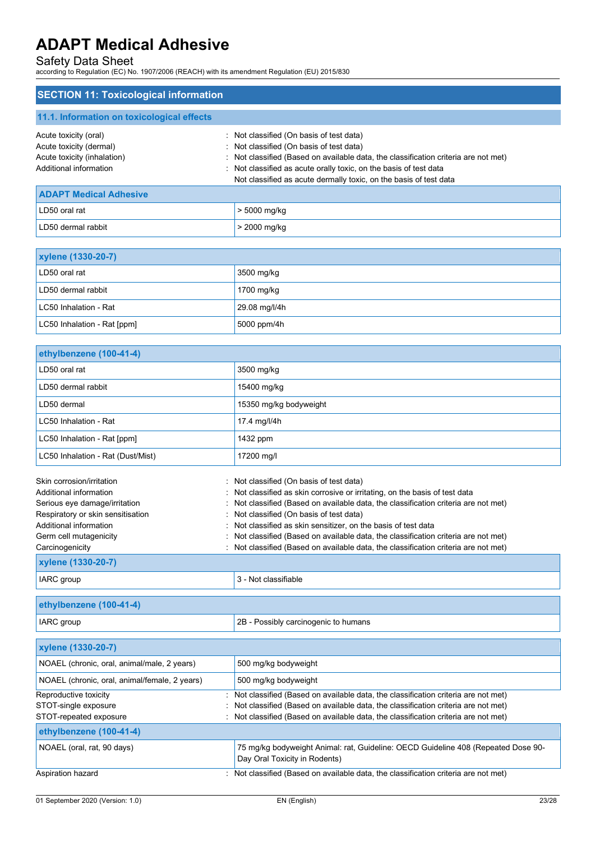## Safety Data Sheet

according to Regulation (EC) No. 1907/2006 (REACH) with its amendment Regulation (EU) 2015/830

## **SECTION 11: Toxicological information 11.1. Information on toxicological effects** Acute toxicity (oral) **Acute toxicity** (oral) **:** Not classified (On basis of test data) Acute toxicity (dermal) **Acute toxicity** (dermal) **in the classified** (On basis of test data) Acute toxicity (inhalation) : Not classified (Based on available data, the classification criteria are not met) Additional information : Not classified as acute orally toxic, on the basis of test data Not classified as acute dermally toxic, on the basis of test data **ADAPT Medical Adhesive**  LD50 oral rat  $\vert$  > 5000 mg/kg LD50 dermal rabbit  $\vert$  > 2000 mg/kg

| <b>xylene (1330-20-7)</b>   |               |  |
|-----------------------------|---------------|--|
| LD50 oral rat               | 3500 mg/kg    |  |
| LD50 dermal rabbit          | 1700 mg/kg    |  |
| LC50 Inhalation - Rat       | 29.08 mg/l/4h |  |
| LC50 Inhalation - Rat [ppm] | 5000 ppm/4h   |  |

| ethylbenzene (100-41-4)                                                                      |                                                                                                                                                                                                 |
|----------------------------------------------------------------------------------------------|-------------------------------------------------------------------------------------------------------------------------------------------------------------------------------------------------|
| LD50 oral rat                                                                                | 3500 mg/kg                                                                                                                                                                                      |
| LD50 dermal rabbit                                                                           | 15400 mg/kg                                                                                                                                                                                     |
| LD50 dermal                                                                                  | 15350 mg/kg bodyweight                                                                                                                                                                          |
| LC50 Inhalation - Rat                                                                        | 17.4 mg/l/4h                                                                                                                                                                                    |
| LC50 Inhalation - Rat [ppm]                                                                  | 1432 ppm                                                                                                                                                                                        |
| LC50 Inhalation - Rat (Dust/Mist)                                                            | 17200 mg/l                                                                                                                                                                                      |
| Skin corrosion/irritation<br>Additional information                                          | : Not classified (On basis of test data)<br>: Not classified as skin corrosive or irritating, on the basis of test data                                                                         |
| Serious eye damage/irritation<br>Respiratory or skin sensitisation<br>Additional information | Not classified (Based on available data, the classification criteria are not met)<br>: Not classified (On basis of test data)<br>: Not classified as skin sensitizer, on the basis of test data |
| Germ cell mutagenicity<br>Carcinogenicity                                                    | Not classified (Based on available data, the classification criteria are not met)<br>: Not classified (Based on available data, the classification criteria are not met)                        |
| <b>xylene (1330-20-7)</b>                                                                    |                                                                                                                                                                                                 |
| IARC group                                                                                   | 3 - Not classifiable                                                                                                                                                                            |

| ethylbenzene (100-41-4) |                                      |
|-------------------------|--------------------------------------|
| <b>IARC</b> group       | 2B - Possibly carcinogenic to humans |

| <b>xylene (1330-20-7)</b>                     |                                                                                                                    |
|-----------------------------------------------|--------------------------------------------------------------------------------------------------------------------|
| NOAEL (chronic, oral, animal/male, 2 years)   | 500 mg/kg bodyweight                                                                                               |
| NOAEL (chronic, oral, animal/female, 2 years) | 500 mg/kg bodyweight                                                                                               |
| Reproductive toxicity                         | : Not classified (Based on available data, the classification criteria are not met)                                |
| STOT-single exposure                          | Not classified (Based on available data, the classification criteria are not met)                                  |
| STOT-repeated exposure                        | Not classified (Based on available data, the classification criteria are not met)                                  |
| ethylbenzene (100-41-4)                       |                                                                                                                    |
| NOAEL (oral, rat, 90 days)                    | 75 mg/kg bodyweight Animal: rat, Guideline: OECD Guideline 408 (Repeated Dose 90-<br>Day Oral Toxicity in Rodents) |
| Aspiration hazard                             | : Not classified (Based on available data, the classification criteria are not met)                                |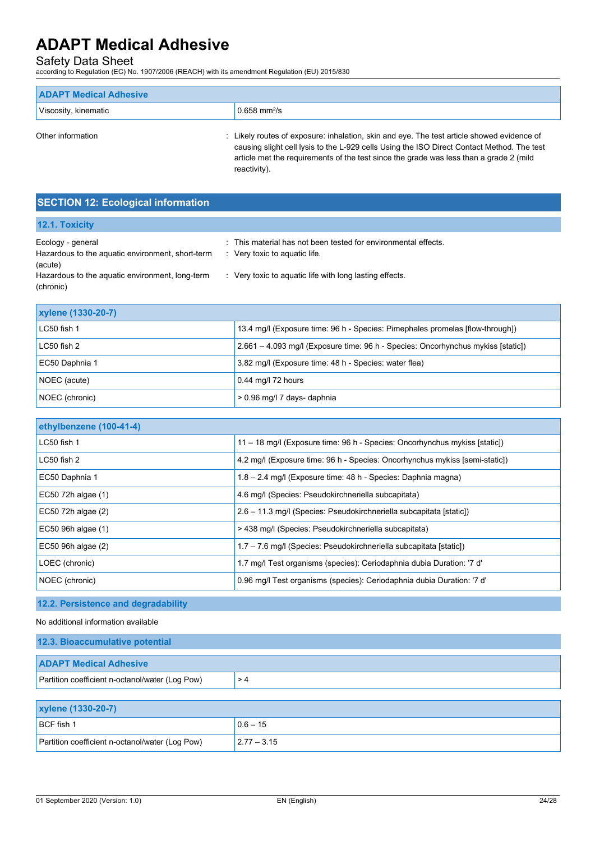Safety Data Sheet according to Regulation (EC) No. 1907/2006 (REACH) with its amendment Regulation (EU) 2015/830

| <b>ADAPT Medical Adhesive</b> |                                                                                            |
|-------------------------------|--------------------------------------------------------------------------------------------|
| Viscosity, kinematic          | $\frac{10.658 \text{ mm}^2}{\text{s}}$                                                     |
| Other information             | : Likely routes of exposure: inhalation, skin and eye. The test article showed evidence of |

causing slight cell lysis to the L-929 cells Using the ISO Direct Contact Method. The test article met the requirements of the test since the grade was less than a grade 2 (mild reactivity).

## **SECTION 12: Ecological information**

| <b>12.1. Toxicity</b>                                                            |                                                                                                            |
|----------------------------------------------------------------------------------|------------------------------------------------------------------------------------------------------------|
| Ecology - general<br>Hazardous to the aquatic environment, short-term<br>(acute) | : This material has not been tested for environmental effects.<br>$\therefore$ Very toxic to aquatic life. |
| Hazardous to the aquatic environment, long-term<br>(chronic)                     | : Very toxic to aguatic life with long lasting effects.                                                    |

| <b>xylene (1330-20-7)</b>                                                                    |                                                                                  |
|----------------------------------------------------------------------------------------------|----------------------------------------------------------------------------------|
| LC50 fish 1<br>13.4 mg/l (Exposure time: 96 h - Species: Pimephales promelas [flow-through]) |                                                                                  |
| LC50 fish 2                                                                                  | 2.661 – 4.093 mg/l (Exposure time: 96 h - Species: Oncorhynchus mykiss [static]) |
| EC50 Daphnia 1                                                                               | 3.82 mg/l (Exposure time: 48 h - Species: water flea)                            |
| NOEC (acute)                                                                                 | 0.44 mg/l 72 hours                                                               |
| NOEC (chronic)                                                                               | > 0.96 mg/l 7 days- daphnia                                                      |

| ethylbenzene (100-41-4) |                                                                             |
|-------------------------|-----------------------------------------------------------------------------|
| LC50 fish 1             | 11 - 18 mg/l (Exposure time: 96 h - Species: Oncorhynchus mykiss [static])  |
| LC50 fish 2             | 4.2 mg/l (Exposure time: 96 h - Species: Oncorhynchus mykiss [semi-static]) |
| EC50 Daphnia 1          | 1.8 - 2.4 mg/l (Exposure time: 48 h - Species: Daphnia magna)               |
| EC50 72h algae (1)      | 4.6 mg/l (Species: Pseudokirchneriella subcapitata)                         |
| EC50 72h algae (2)      | 2.6 - 11.3 mg/l (Species: Pseudokirchneriella subcapitata [static])         |
| EC50 96h algae (1)      | > 438 mg/l (Species: Pseudokirchneriella subcapitata)                       |
| EC50 96h algae (2)      | 1.7 - 7.6 mg/l (Species: Pseudokirchneriella subcapitata [static])          |
| LOEC (chronic)          | 1.7 mg/l Test organisms (species): Ceriodaphnia dubia Duration: '7 d'       |
| NOEC (chronic)          | 0.96 mg/l Test organisms (species): Ceriodaphnia dubia Duration: '7 d'      |

## **12.2. Persistence and degradability**

No additional information available

| 12.3. Bioaccumulative potential                 |    |  |
|-------------------------------------------------|----|--|
| <b>ADAPT Medical Adhesive</b>                   |    |  |
| Partition coefficient n-octanol/water (Log Pow) | >4 |  |

| <b>xylene (1330-20-7)</b>                       |                 |
|-------------------------------------------------|-----------------|
| BCF fish 1                                      | $10.6 - 15$     |
| Partition coefficient n-octanol/water (Log Pow) | $ 2.77 - 3.15 $ |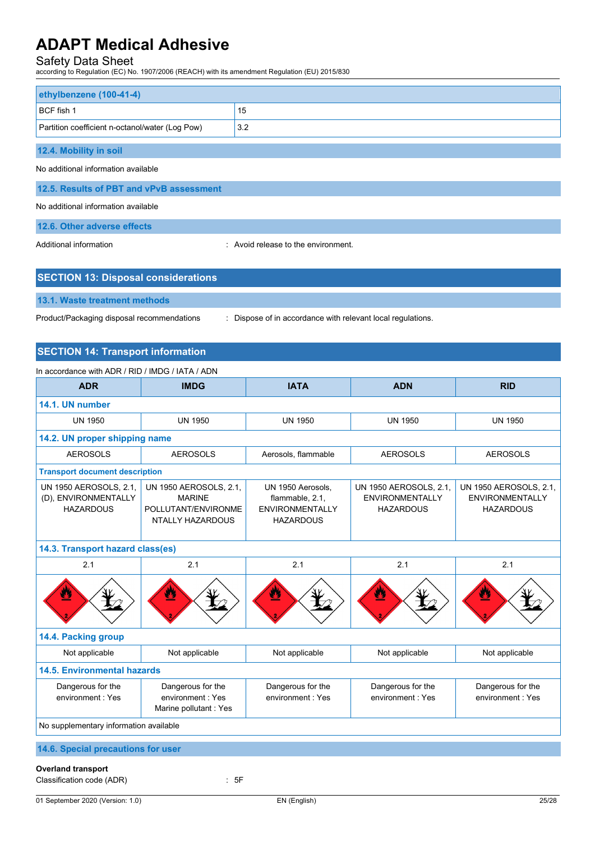Safety Data Sheet according to Regulation (EC) No. 1907/2006 (REACH) with its amendment Regulation (EU) 2015/830

| ethylbenzene (100-41-4)                         |     |  |
|-------------------------------------------------|-----|--|
| BCF fish 1                                      | 15  |  |
| Partition coefficient n-octanol/water (Log Pow) | 3.2 |  |
| 12.4. Mobility in soil                          |     |  |
|                                                 |     |  |
| No additional information available             |     |  |
| 12.5. Results of PBT and vPvB assessment        |     |  |
| No additional information available             |     |  |

## **12.6. Other adverse effects**

Additional information **interest in the environment** of the environment.

## **SECTION 13: Disposal considerations**

## **13.1. Waste treatment methods**

Product/Packaging disposal recommendations : Dispose of in accordance with relevant local regulations.

## **SECTION 14: Transport information**

| In accordance with ADR / RID / IMDG / IATA / ADN                   |                                                                                           |                                                                                    |                                                                      |                                                                      |
|--------------------------------------------------------------------|-------------------------------------------------------------------------------------------|------------------------------------------------------------------------------------|----------------------------------------------------------------------|----------------------------------------------------------------------|
| <b>ADR</b>                                                         | <b>IMDG</b>                                                                               | <b>IATA</b>                                                                        | <b>ADN</b>                                                           | <b>RID</b>                                                           |
| 14.1. UN number                                                    |                                                                                           |                                                                                    |                                                                      |                                                                      |
| <b>UN 1950</b>                                                     | <b>UN 1950</b>                                                                            | <b>UN 1950</b>                                                                     | <b>UN 1950</b>                                                       | <b>UN 1950</b>                                                       |
| 14.2. UN proper shipping name                                      |                                                                                           |                                                                                    |                                                                      |                                                                      |
| <b>AEROSOLS</b>                                                    | <b>AEROSOLS</b>                                                                           | Aerosols, flammable                                                                | <b>AEROSOLS</b>                                                      | <b>AEROSOLS</b>                                                      |
| <b>Transport document description</b>                              |                                                                                           |                                                                                    |                                                                      |                                                                      |
| UN 1950 AEROSOLS, 2.1,<br>(D), ENVIRONMENTALLY<br><b>HAZARDOUS</b> | UN 1950 AEROSOLS, 2.1,<br><b>MARINE</b><br>POLLUTANT/ENVIRONME<br><b>NTALLY HAZARDOUS</b> | UN 1950 Aerosols,<br>flammable, 2.1,<br><b>ENVIRONMENTALLY</b><br><b>HAZARDOUS</b> | UN 1950 AEROSOLS, 2.1,<br><b>ENVIRONMENTALLY</b><br><b>HAZARDOUS</b> | UN 1950 AEROSOLS, 2.1,<br><b>ENVIRONMENTALLY</b><br><b>HAZARDOUS</b> |
| 14.3. Transport hazard class(es)                                   |                                                                                           |                                                                                    |                                                                      |                                                                      |
| 2.1                                                                | 2.1                                                                                       | 2.1                                                                                | 2.1                                                                  | 2.1                                                                  |
|                                                                    | Ø                                                                                         |                                                                                    |                                                                      |                                                                      |
| 14.4. Packing group                                                |                                                                                           |                                                                                    |                                                                      |                                                                      |
| Not applicable                                                     | Not applicable                                                                            | Not applicable                                                                     | Not applicable                                                       | Not applicable                                                       |
| <b>14.5. Environmental hazards</b>                                 |                                                                                           |                                                                                    |                                                                      |                                                                      |
| Dangerous for the<br>environment: Yes                              | Dangerous for the<br>environment : Yes<br>Marine pollutant: Yes                           | Dangerous for the<br>environment : Yes                                             | Dangerous for the<br>environment : Yes                               | Dangerous for the<br>environment: Yes                                |
| No supplementary information available                             |                                                                                           |                                                                                    |                                                                      |                                                                      |
| 14.6. Special precautions for user                                 |                                                                                           |                                                                                    |                                                                      |                                                                      |

## **Overland transport**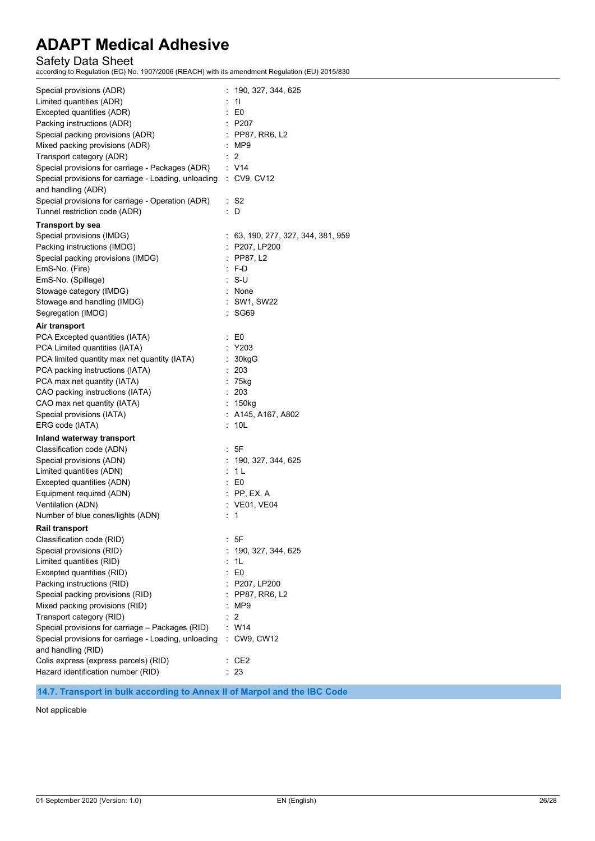Safety Data Sheet according to Regulation (EC) No. 1907/2006 (REACH) with its amendment Regulation (EU) 2015/830

| Special provisions (ADR)<br>Limited quantities (ADR)<br>Excepted quantities (ADR)<br>Packing instructions (ADR)<br>Special packing provisions (ADR)<br>Mixed packing provisions (ADR)<br>Transport category (ADR)<br>Special provisions for carriage - Packages (ADR)<br>Special provisions for carriage - Loading, unloading<br>and handling (ADR)<br>Special provisions for carriage - Operation (ADR)<br>Tunnel restriction code (ADR)                                                                            | 190, 327, 344, 625<br>11<br>$\mathbf{E}$ E0<br>$\therefore$ P207<br>: PP87, RR6, L2<br>: MP9<br>$\therefore$ 2<br>: V14<br>: CV9, CV12<br>$\therefore$ S2<br>D                                              |
|----------------------------------------------------------------------------------------------------------------------------------------------------------------------------------------------------------------------------------------------------------------------------------------------------------------------------------------------------------------------------------------------------------------------------------------------------------------------------------------------------------------------|-------------------------------------------------------------------------------------------------------------------------------------------------------------------------------------------------------------|
| <b>Transport by sea</b>                                                                                                                                                                                                                                                                                                                                                                                                                                                                                              |                                                                                                                                                                                                             |
| Special provisions (IMDG)<br>Packing instructions (IMDG)<br>Special packing provisions (IMDG)<br>EmS-No. (Fire)<br>EmS-No. (Spillage)<br>Stowage category (IMDG)<br>Stowage and handling (IMDG)                                                                                                                                                                                                                                                                                                                      | : 63, 190, 277, 327, 344, 381, 959<br>: P207, LP200<br>$:$ PP87, L2<br>$\therefore$ F-D<br>: S-U<br>: None<br>: SW1, SW22                                                                                   |
| Segregation (IMDG)                                                                                                                                                                                                                                                                                                                                                                                                                                                                                                   | : SG69                                                                                                                                                                                                      |
|                                                                                                                                                                                                                                                                                                                                                                                                                                                                                                                      |                                                                                                                                                                                                             |
| Air transport<br>PCA Excepted quantities (IATA)<br>PCA Limited quantities (IATA)<br>PCA limited quantity max net quantity (IATA)<br>PCA packing instructions (IATA)<br>PCA max net quantity (IATA)<br>CAO packing instructions (IATA)<br>CAO max net quantity (IATA)<br>Special provisions (IATA)<br>ERG code (IATA)<br>Inland waterway transport<br>Classification code (ADN)<br>Special provisions (ADN)<br>Limited quantities (ADN)<br>Excepted quantities (ADN)<br>Equipment required (ADN)<br>Ventilation (ADN) | $\mathbf{E}$ E0<br>: Y203<br>30kgG<br>203<br>$: 75$ kg<br>: 203<br>$: 150$ kg<br>$:$ A145, A167, A802<br>: 10L<br>: 5F<br>: 190, 327, 344, 625<br>: 1 L<br>$\mathbf{E}$ E0<br>$:$ PP, EX, A<br>: VE01, VE04 |
| Number of blue cones/lights (ADN)                                                                                                                                                                                                                                                                                                                                                                                                                                                                                    | t.<br>1                                                                                                                                                                                                     |
| <b>Rail transport</b><br>Classification code (RID)<br>Special provisions (RID)<br>Limited quantities (RID)<br>Excepted quantities (RID)<br>Packing instructions (RID)<br>Special packing provisions (RID)<br>Mixed packing provisions (RID)<br>Transport category (RID)<br>Special provisions for carriage - Packages (RID)<br>Special provisions for carriage - Loading, unloading                                                                                                                                  | 5F<br>190, 327, 344, 625<br>1L<br>E <sub>0</sub><br>$\mathbb{R}^3$<br>: P207, LP200<br>: PP87, RR6, L2<br>MP <sub>9</sub><br>2<br>W14<br>CW9, CW12                                                          |
| and handling (RID)<br>Colis express (express parcels) (RID)<br>Hazard identification number (RID)                                                                                                                                                                                                                                                                                                                                                                                                                    | CE2<br>23                                                                                                                                                                                                   |

**14.7. Transport in bulk according to Annex II of Marpol and the IBC Code**

Not applicable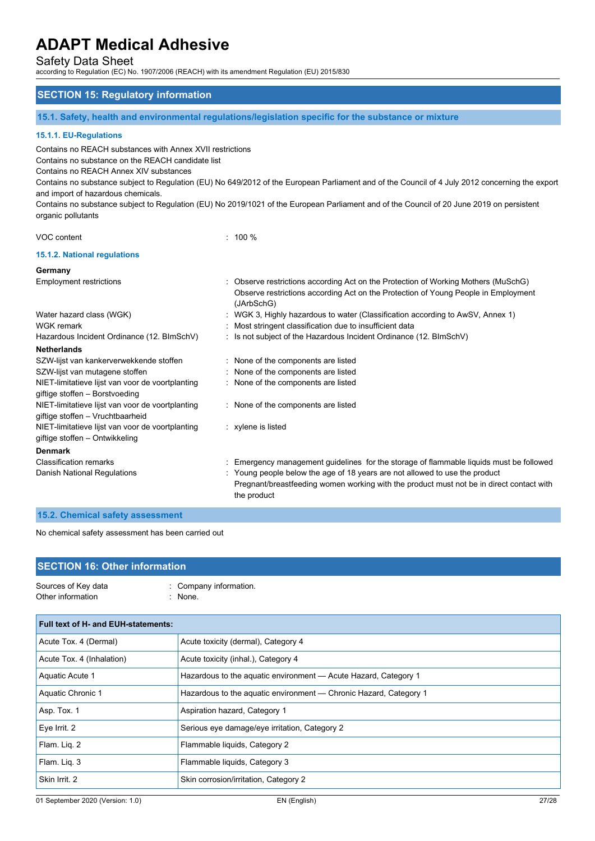Safety Data Sheet

according to Regulation (EC) No. 1907/2006 (REACH) with its amendment Regulation (EU) 2015/830

## **SECTION 15: Regulatory information**

**15.1. Safety, health and environmental regulations/legislation specific for the substance or mixture**

## **15.1.1. EU-Regulations**

Contains no REACH substances with Annex XVII restrictions

Contains no substance on the REACH candidate list

Contains no REACH Annex XIV substances

Contains no substance subject to Regulation (EU) No 649/2012 of the European Parliament and of the Council of 4 July 2012 concerning the export and import of hazardous chemicals.

Contains no substance subject to Regulation (EU) No 2019/1021 of the European Parliament and of the Council of 20 June 2019 on persistent organic pollutants

### VOC content : 100 %

## **15.1.2. National regulations**

### **Germany**

| <b>Employment restrictions</b>                   | : Observe restrictions according Act on the Protection of Working Mothers (MuSchG)<br>Observe restrictions according Act on the Protection of Young People in Employment<br>(JArbSchG) |
|--------------------------------------------------|----------------------------------------------------------------------------------------------------------------------------------------------------------------------------------------|
| Water hazard class (WGK)                         | : WGK 3, Highly hazardous to water (Classification according to AwSV, Annex 1)                                                                                                         |
| WGK remark                                       | : Most stringent classification due to insufficient data                                                                                                                               |
| Hazardous Incident Ordinance (12. BImSchV)       | : Is not subject of the Hazardous Incident Ordinance (12. BImSchV)                                                                                                                     |
| <b>Netherlands</b>                               |                                                                                                                                                                                        |
| SZW-lijst van kankerverwekkende stoffen          | : None of the components are listed                                                                                                                                                    |
| SZW-lijst van mutagene stoffen                   | : None of the components are listed                                                                                                                                                    |
| NIET-limitatieve lijst van voor de voortplanting | : None of the components are listed                                                                                                                                                    |
| giftige stoffen - Borstvoeding                   |                                                                                                                                                                                        |
| NIET-limitatieve lijst van voor de voortplanting | : None of the components are listed                                                                                                                                                    |
| giftige stoffen - Vruchtbaarheid                 |                                                                                                                                                                                        |
| NIET-limitatieve lijst van voor de voortplanting | $:$ xylene is listed                                                                                                                                                                   |
| giftige stoffen – Ontwikkeling                   |                                                                                                                                                                                        |
| <b>Denmark</b>                                   |                                                                                                                                                                                        |
| <b>Classification remarks</b>                    | : Emergency management guidelines for the storage of flammable liquids must be followed                                                                                                |
| Danish National Regulations                      | : Young people below the age of 18 years are not allowed to use the product<br>Pregnant/breastfeeding women working with the product must not be in direct contact with<br>the product |
|                                                  |                                                                                                                                                                                        |

## **15.2. Chemical safety assessment**

No chemical safety assessment has been carried out

## **SECTION 16: Other information**

| Sources of Key data | : Company information. |
|---------------------|------------------------|
| Other information   | : None.                |

| <b>Full text of H- and EUH-statements:</b> |                                                                   |  |
|--------------------------------------------|-------------------------------------------------------------------|--|
| Acute Tox. 4 (Dermal)                      | Acute toxicity (dermal), Category 4                               |  |
| Acute Tox. 4 (Inhalation)                  | Acute toxicity (inhal.), Category 4                               |  |
| Aquatic Acute 1                            | Hazardous to the aguatic environment - Acute Hazard, Category 1   |  |
| Aquatic Chronic 1                          | Hazardous to the aquatic environment - Chronic Hazard, Category 1 |  |
| Asp. Tox. 1                                | Aspiration hazard, Category 1                                     |  |
| Eye Irrit. 2                               | Serious eye damage/eye irritation, Category 2                     |  |
| Flam. Lig. 2                               | Flammable liquids, Category 2                                     |  |
| Flam. Liq. 3                               | Flammable liquids, Category 3                                     |  |
| Skin Irrit. 2                              | Skin corrosion/irritation, Category 2                             |  |